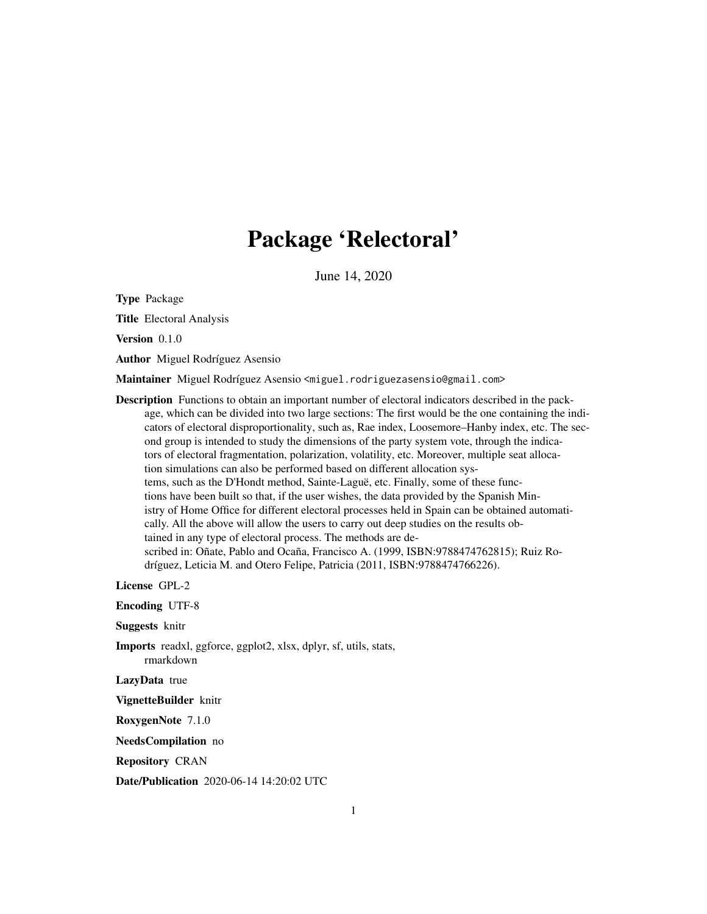# Package 'Relectoral'

June 14, 2020

Type Package

Title Electoral Analysis

Version 0.1.0

Author Miguel Rodríguez Asensio

Maintainer Miguel Rodríguez Asensio <miguel.rodriguezasensio@gmail.com>

Description Functions to obtain an important number of electoral indicators described in the package, which can be divided into two large sections: The first would be the one containing the indicators of electoral disproportionality, such as, Rae index, Loosemore–Hanby index, etc. The second group is intended to study the dimensions of the party system vote, through the indicators of electoral fragmentation, polarization, volatility, etc. Moreover, multiple seat allocation simulations can also be performed based on different allocation systems, such as the D'Hondt method, Sainte-Laguë, etc. Finally, some of these functions have been built so that, if the user wishes, the data provided by the Spanish Ministry of Home Office for different electoral processes held in Spain can be obtained automatically. All the above will allow the users to carry out deep studies on the results obtained in any type of electoral process. The methods are described in: Oñate, Pablo and Ocaña, Francisco A. (1999, ISBN:9788474762815); Ruiz Rodríguez, Leticia M. and Otero Felipe, Patricia (2011, ISBN:9788474766226).

License GPL-2

Encoding UTF-8

Suggests knitr

Imports readxl, ggforce, ggplot2, xlsx, dplyr, sf, utils, stats, rmarkdown

LazyData true

VignetteBuilder knitr

RoxygenNote 7.1.0

NeedsCompilation no

Repository CRAN

Date/Publication 2020-06-14 14:20:02 UTC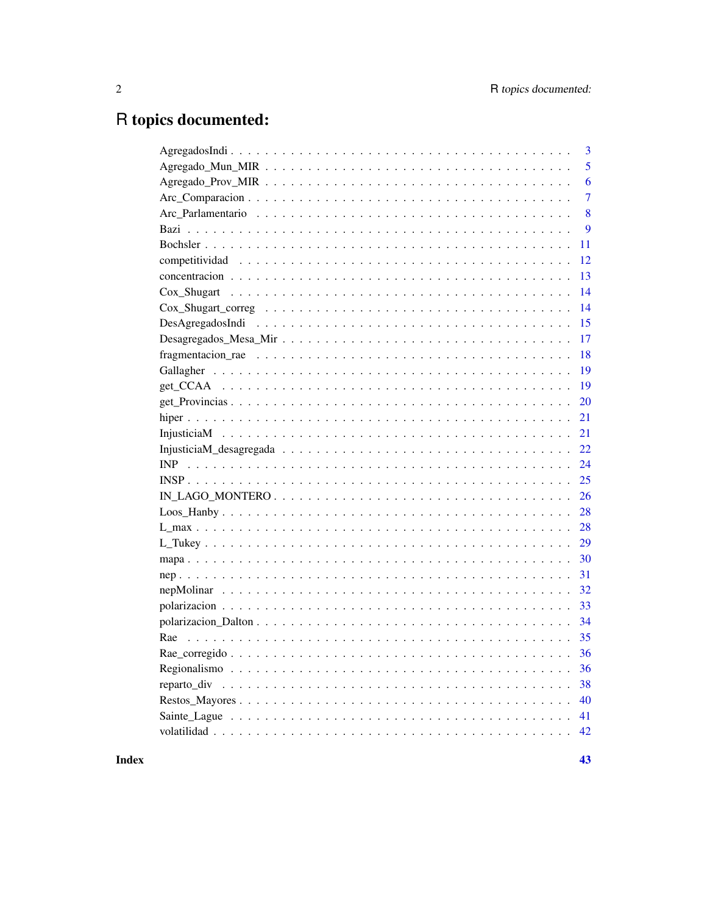## R topics documented:

| 3              |
|----------------|
| 5              |
| 6              |
| $\overline{7}$ |
| 8              |
| 9              |
| 11             |
| 12             |
| 13             |
| 14             |
| 14             |
| 15             |
| 17             |
| 18             |
| 19             |
| 19             |
| 20             |
| 21             |
| 21             |
| 22             |
| 24             |
| 25             |
| 26             |
| 28             |
| 28             |
| 29             |
| 30             |
| 31             |
| 32             |
| 33             |
| 34             |
| 35             |
| 36             |
| 36             |
| 38             |
| 40             |
| 41             |
|                |
|                |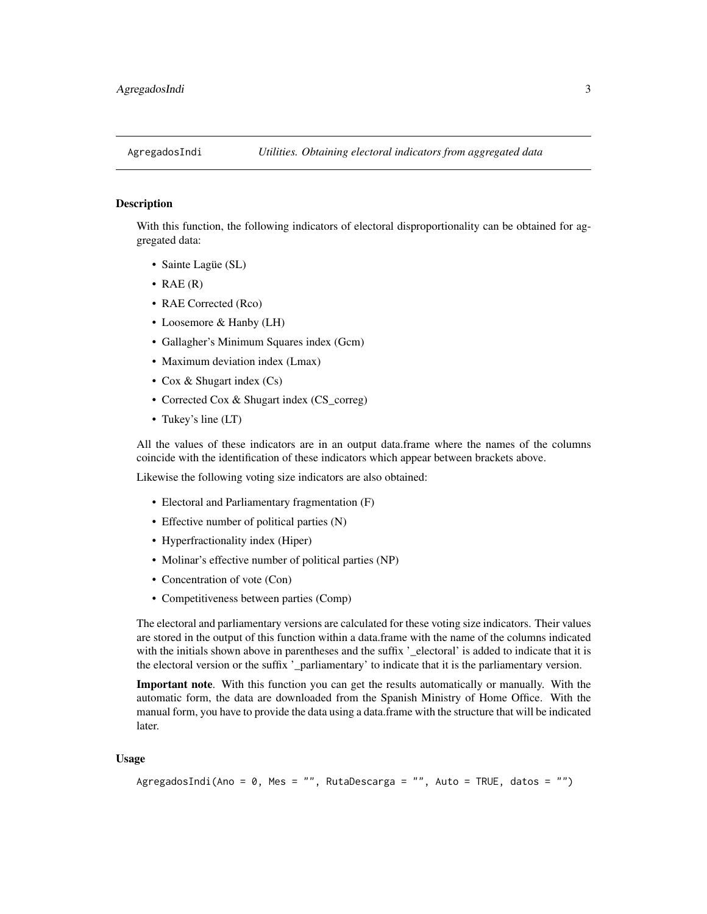<span id="page-2-0"></span>

With this function, the following indicators of electoral disproportionality can be obtained for aggregated data:

- Sainte Lagüe (SL)
- RAE  $(R)$
- RAE Corrected (Rco)
- Loosemore & Hanby (LH)
- Gallagher's Minimum Squares index (Gcm)
- Maximum deviation index (Lmax)
- Cox & Shugart index (Cs)
- Corrected Cox & Shugart index (CS\_correg)
- Tukey's line (LT)

All the values of these indicators are in an output data.frame where the names of the columns coincide with the identification of these indicators which appear between brackets above.

Likewise the following voting size indicators are also obtained:

- Electoral and Parliamentary fragmentation (F)
- Effective number of political parties (N)
- Hyperfractionality index (Hiper)
- Molinar's effective number of political parties (NP)
- Concentration of vote (Con)
- Competitiveness between parties (Comp)

The electoral and parliamentary versions are calculated for these voting size indicators. Their values are stored in the output of this function within a data.frame with the name of the columns indicated with the initials shown above in parentheses and the suffix '\_electoral' is added to indicate that it is the electoral version or the suffix '\_parliamentary' to indicate that it is the parliamentary version.

Important note. With this function you can get the results automatically or manually. With the automatic form, the data are downloaded from the Spanish Ministry of Home Office. With the manual form, you have to provide the data using a data.frame with the structure that will be indicated later.

#### Usage

```
AgregadosIndi(Ano = 0, Mes = "", RutaDescarga = "", Auto = TRUE, datos = "")
```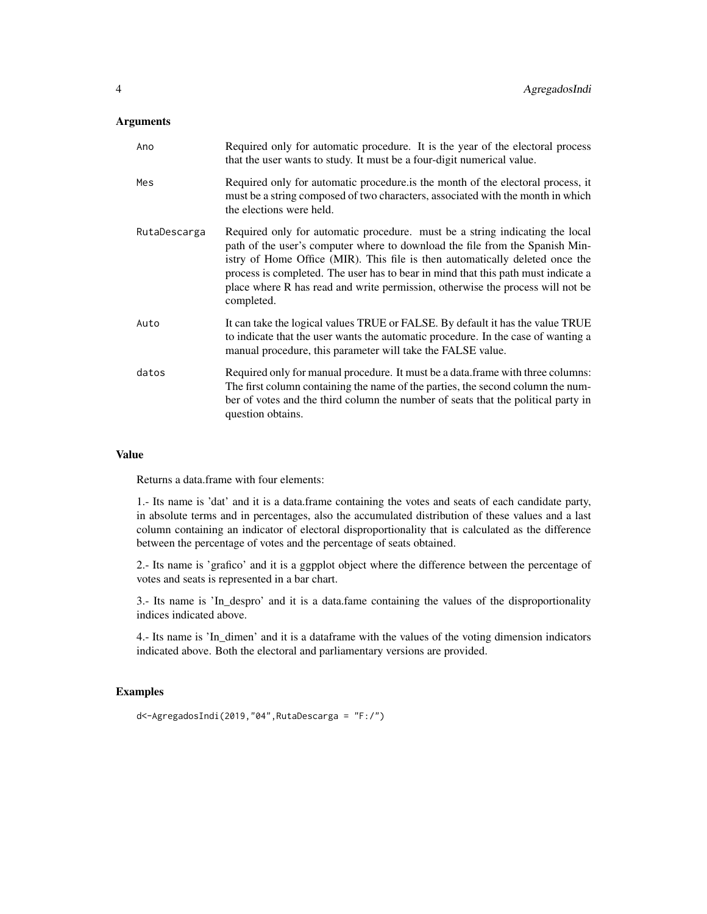#### Arguments

| Ano          | Required only for automatic procedure. It is the year of the electoral process<br>that the user wants to study. It must be a four-digit numerical value.                                                                                                                                                                                                                                                                          |
|--------------|-----------------------------------------------------------------------------------------------------------------------------------------------------------------------------------------------------------------------------------------------------------------------------------------------------------------------------------------------------------------------------------------------------------------------------------|
| Mes          | Required only for automatic procedure is the month of the electoral process, it<br>must be a string composed of two characters, associated with the month in which<br>the elections were held.                                                                                                                                                                                                                                    |
| RutaDescarga | Required only for automatic procedure. must be a string indicating the local<br>path of the user's computer where to download the file from the Spanish Min-<br>istry of Home Office (MIR). This file is then automatically deleted once the<br>process is completed. The user has to bear in mind that this path must indicate a<br>place where R has read and write permission, otherwise the process will not be<br>completed. |
| Auto         | It can take the logical values TRUE or FALSE. By default it has the value TRUE<br>to indicate that the user wants the automatic procedure. In the case of wanting a<br>manual procedure, this parameter will take the FALSE value.                                                                                                                                                                                                |
| datos        | Required only for manual procedure. It must be a data. frame with three columns:<br>The first column containing the name of the parties, the second column the num-<br>ber of votes and the third column the number of seats that the political party in<br>question obtains.                                                                                                                                                     |

#### Value

Returns a data.frame with four elements:

1.- Its name is 'dat' and it is a data.frame containing the votes and seats of each candidate party, in absolute terms and in percentages, also the accumulated distribution of these values and a last column containing an indicator of electoral disproportionality that is calculated as the difference between the percentage of votes and the percentage of seats obtained.

2.- Its name is 'grafico' and it is a ggpplot object where the difference between the percentage of votes and seats is represented in a bar chart.

3.- Its name is 'In\_despro' and it is a data.fame containing the values of the disproportionality indices indicated above.

4.- Its name is 'In\_dimen' and it is a dataframe with the values of the voting dimension indicators indicated above. Both the electoral and parliamentary versions are provided.

#### Examples

```
d<-AgregadosIndi(2019,"04",RutaDescarga = "F:/")
```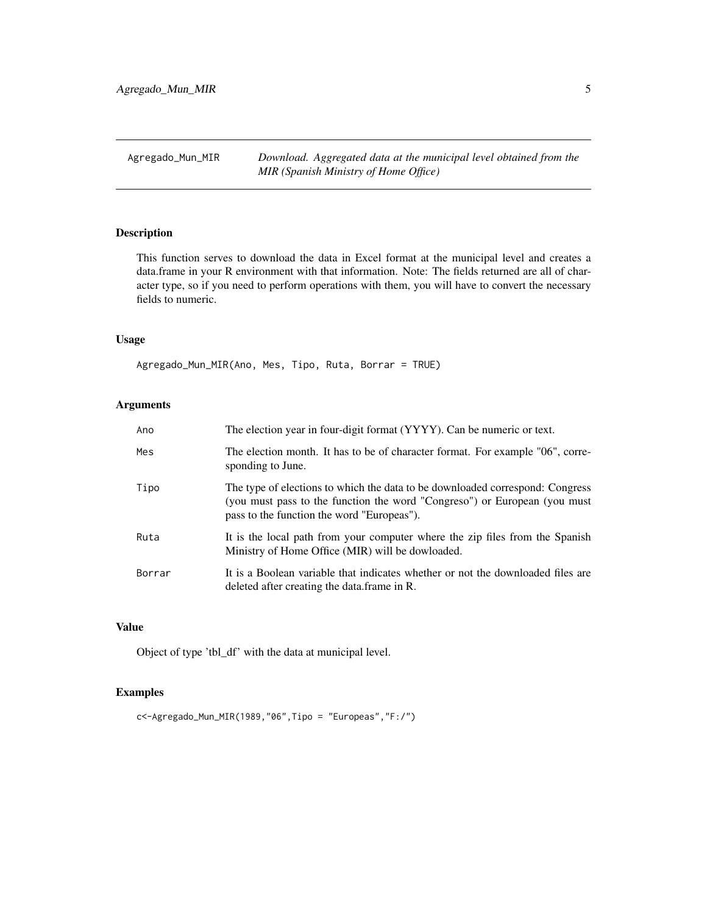<span id="page-4-0"></span>Agregado\_Mun\_MIR *Download. Aggregated data at the municipal level obtained from the MIR (Spanish Ministry of Home Office)*

#### Description

This function serves to download the data in Excel format at the municipal level and creates a data.frame in your R environment with that information. Note: The fields returned are all of character type, so if you need to perform operations with them, you will have to convert the necessary fields to numeric.

#### Usage

Agregado\_Mun\_MIR(Ano, Mes, Tipo, Ruta, Borrar = TRUE)

#### Arguments

| Ano    | The election year in four-digit format (YYYY). Can be numeric or text.                                                                                                                                   |
|--------|----------------------------------------------------------------------------------------------------------------------------------------------------------------------------------------------------------|
| Mes    | The election month. It has to be of character format. For example "06", corre-<br>sponding to June.                                                                                                      |
| Tipo   | The type of elections to which the data to be downloaded correspond: Congress<br>(you must pass to the function the word "Congreso") or European (you must<br>pass to the function the word "Europeas"). |
| Ruta   | It is the local path from your computer where the zip files from the Spanish<br>Ministry of Home Office (MIR) will be dowloaded.                                                                         |
| Borrar | It is a Boolean variable that indicates whether or not the downloaded files are<br>deleted after creating the data frame in R.                                                                           |

#### Value

Object of type 'tbl\_df' with the data at municipal level.

#### Examples

c<-Agregado\_Mun\_MIR(1989,"06",Tipo = "Europeas","F:/")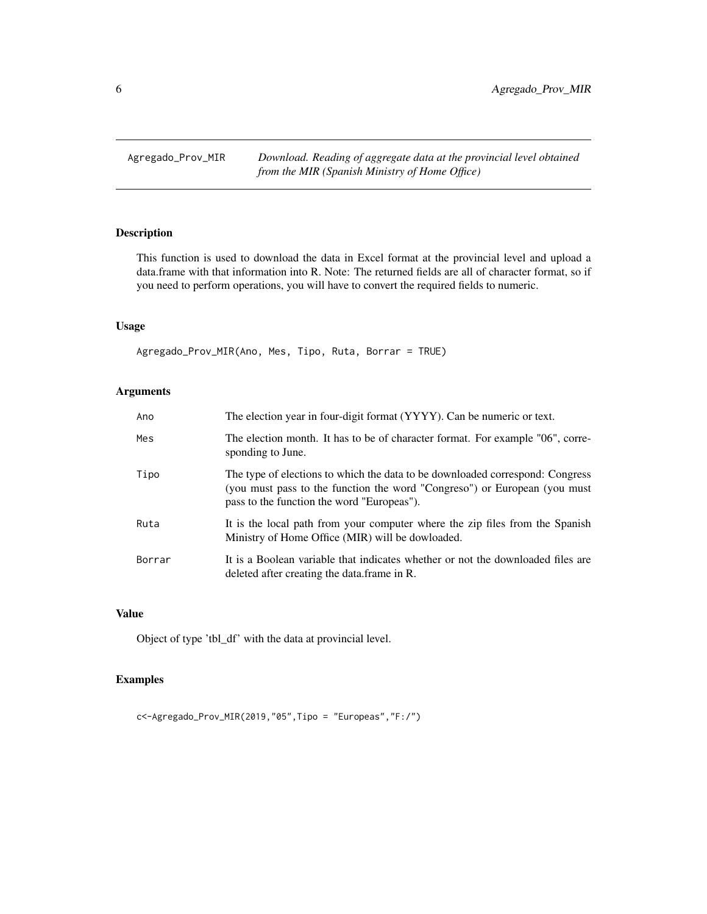<span id="page-5-0"></span>Agregado\_Prov\_MIR *Download. Reading of aggregate data at the provincial level obtained from the MIR (Spanish Ministry of Home Office)*

#### Description

This function is used to download the data in Excel format at the provincial level and upload a data.frame with that information into R. Note: The returned fields are all of character format, so if you need to perform operations, you will have to convert the required fields to numeric.

#### Usage

Agregado\_Prov\_MIR(Ano, Mes, Tipo, Ruta, Borrar = TRUE)

#### Arguments

| Ano    | The election year in four-digit format (YYYY). Can be numeric or text.                                                                                                                                   |
|--------|----------------------------------------------------------------------------------------------------------------------------------------------------------------------------------------------------------|
| Mes    | The election month. It has to be of character format. For example "06", corre-<br>sponding to June.                                                                                                      |
| Tipo   | The type of elections to which the data to be downloaded correspond: Congress<br>(you must pass to the function the word "Congreso") or European (you must<br>pass to the function the word "Europeas"). |
| Ruta   | It is the local path from your computer where the zip files from the Spanish<br>Ministry of Home Office (MIR) will be dowloaded.                                                                         |
| Borrar | It is a Boolean variable that indicates whether or not the downloaded files are<br>deleted after creating the data.frame in R.                                                                           |

#### Value

Object of type 'tbl\_df' with the data at provincial level.

#### Examples

c<-Agregado\_Prov\_MIR(2019,"05",Tipo = "Europeas","F:/")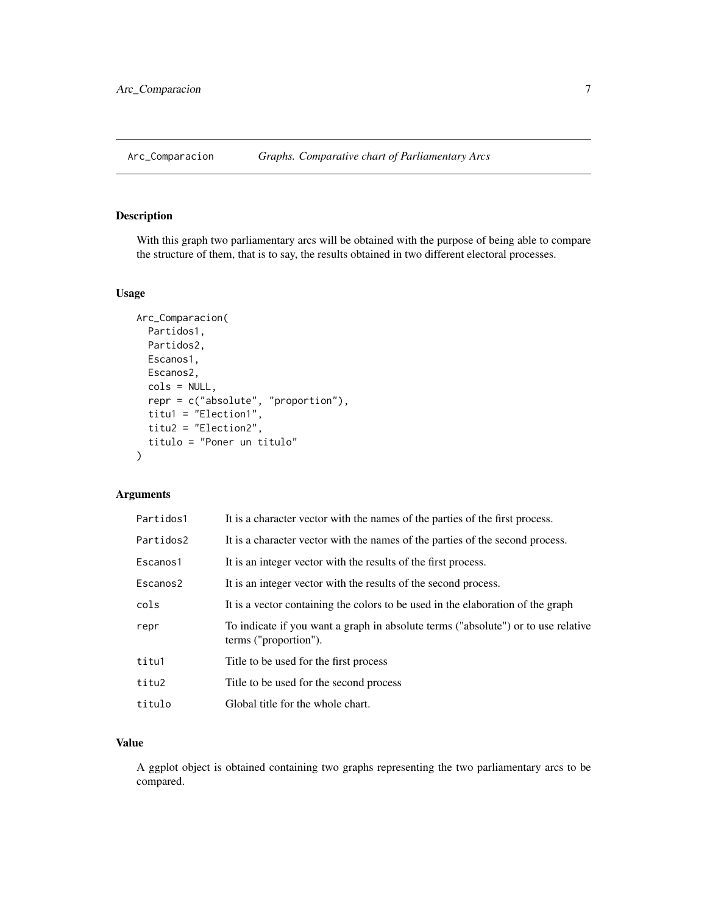<span id="page-6-0"></span>

With this graph two parliamentary arcs will be obtained with the purpose of being able to compare the structure of them, that is to say, the results obtained in two different electoral processes.

#### Usage

```
Arc_Comparacion(
 Partidos1,
 Partidos2,
 Escanos1,
 Escanos2,
  cols = NULL,
  repr = c("absolute", "proportion"),
  titu1 = "Election1",
  titu2 = "Election2",
  titulo = "Poner un titulo"
)
```
#### Arguments

| Partidos1 | It is a character vector with the names of the parties of the first process.                               |
|-----------|------------------------------------------------------------------------------------------------------------|
| Partidos2 | It is a character vector with the names of the parties of the second process.                              |
| Escanos1  | It is an integer vector with the results of the first process.                                             |
| Escanos2  | It is an integer vector with the results of the second process.                                            |
| cols      | It is a vector containing the colors to be used in the elaboration of the graph                            |
| repr      | To indicate if you want a graph in absolute terms ("absolute") or to use relative<br>terms ("proportion"). |
| titu1     | Title to be used for the first process                                                                     |
| titu2     | Title to be used for the second process                                                                    |
| titulo    | Global title for the whole chart.                                                                          |

#### Value

A ggplot object is obtained containing two graphs representing the two parliamentary arcs to be compared.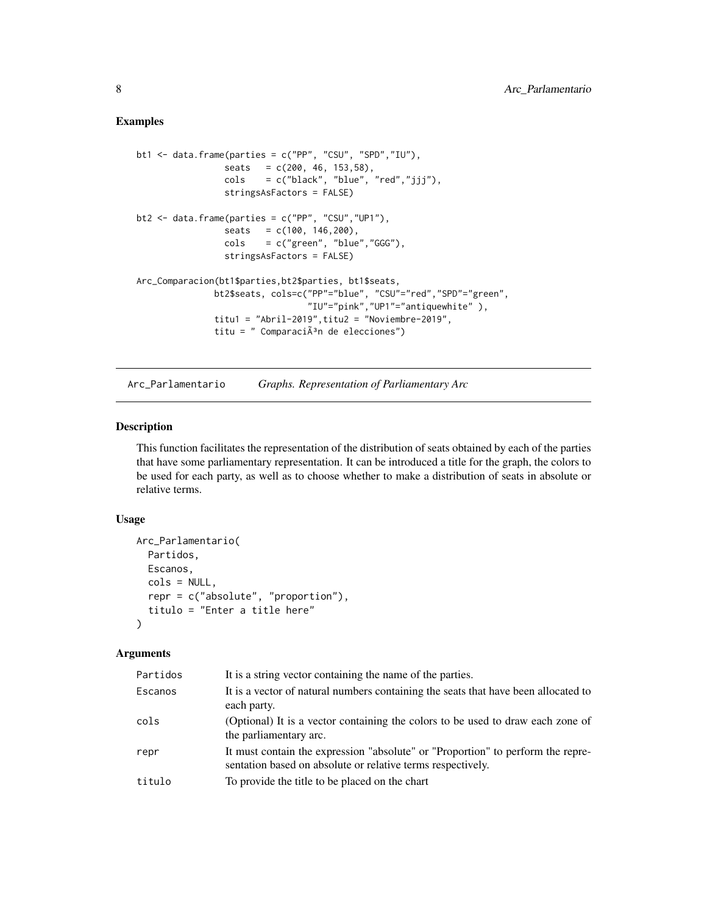#### <span id="page-7-0"></span>Examples

```
bt1 \le data.frame(parties = c("PP", "CSU", "SPD","IU"),
                 seats = c(200, 46, 153, 58),\text{cols} = c("black", "blue", "red", "jjj"),stringsAsFactors = FALSE)
bt2 <- data.frame(parties = c("PP", "CSU","UP1"),
                 seats = c(100, 146, 200),cols = c("green", "blue","GGG"),
                 stringsAsFactors = FALSE)
Arc_Comparacion(bt1$parties,bt2$parties, bt1$seats,
               bt2$seats, cols=c("PP"="blue", "CSU"="red","SPD"="green",
                                 "IU"="pink","UP1"="antiquewhite" ),
               titu1 = "Abril-2019", titu2 = "Noviembre-2019",titu = " Comparaci\tilde{A}^3n de elecciones")
```
Arc\_Parlamentario *Graphs. Representation of Parliamentary Arc*

#### Description

This function facilitates the representation of the distribution of seats obtained by each of the parties that have some parliamentary representation. It can be introduced a title for the graph, the colors to be used for each party, as well as to choose whether to make a distribution of seats in absolute or relative terms.

#### Usage

```
Arc_Parlamentario(
  Partidos,
  Escanos,
  cols = NULL,
  repr = c("absolute", "proportion"),
  titulo = "Enter a title here"
\mathcal{L}
```
#### Arguments

| Escanos<br>each party.<br>cols<br>the parliamentary arc.<br>repr<br>sentation based on absolute or relative terms respectively.<br>To provide the title to be placed on the chart<br>titulo | Partidos | It is a string vector containing the name of the parties.                          |
|---------------------------------------------------------------------------------------------------------------------------------------------------------------------------------------------|----------|------------------------------------------------------------------------------------|
|                                                                                                                                                                                             |          | It is a vector of natural numbers containing the seats that have been allocated to |
|                                                                                                                                                                                             |          | (Optional) It is a vector containing the colors to be used to draw each zone of    |
|                                                                                                                                                                                             |          | It must contain the expression "absolute" or "Proportion" to perform the repre-    |
|                                                                                                                                                                                             |          |                                                                                    |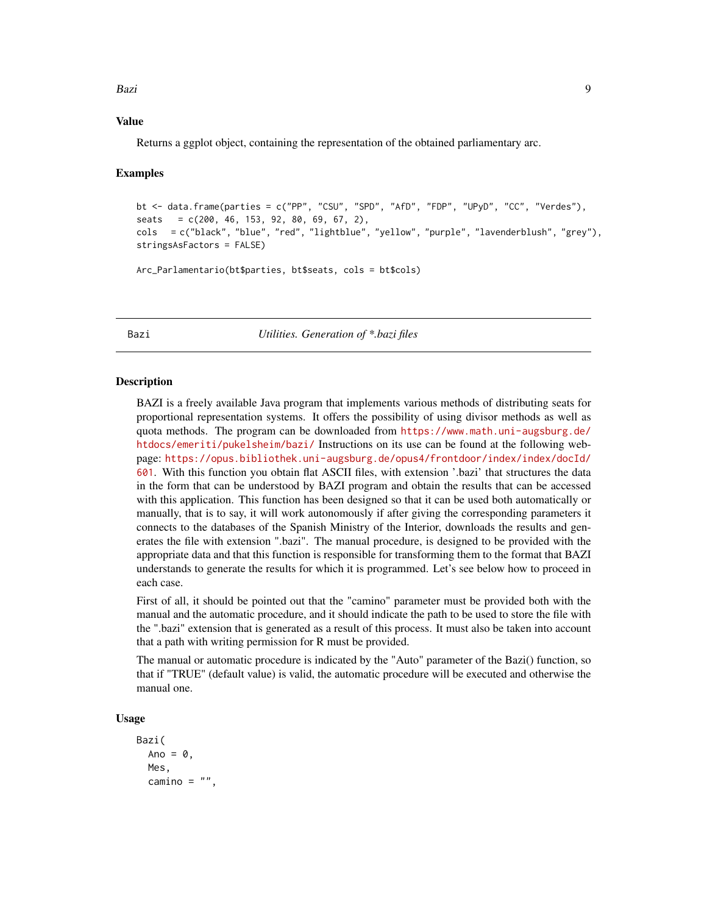#### <span id="page-8-0"></span>Bazi da kasa na kasa na kasa na kasa na kasa na kasa na kasa na kasa na kasa na kasa na kasa na kasa na kasa n

#### Value

Returns a ggplot object, containing the representation of the obtained parliamentary arc.

#### Examples

```
bt <- data.frame(parties = c("PP", "CSU", "SPD", "AfD", "FDP", "UPyD", "CC", "Verdes"),
seats = c(200, 46, 153, 92, 80, 69, 67, 2),
cols = c("black", "blue", "red", "lightblue", "yellow", "purple", "lavenderblush", "grey"),
stringsAsFactors = FALSE)
Arc_Parlamentario(bt$parties, bt$seats, cols = bt$cols)
```
Bazi *Utilities. Generation of \*.bazi files*

#### Description

BAZI is a freely available Java program that implements various methods of distributing seats for proportional representation systems. It offers the possibility of using divisor methods as well as quota methods. The program can be downloaded from [https://www.math.uni-augsburg.de/](https://www.math.uni-augsburg.de/htdocs/emeriti/pukelsheim/bazi/) [htdocs/emeriti/pukelsheim/bazi/](https://www.math.uni-augsburg.de/htdocs/emeriti/pukelsheim/bazi/) Instructions on its use can be found at the following webpage: [https://opus.bibliothek.uni-augsburg.de/opus4/frontdoor/index/index/docId/](https://opus.bibliothek.uni-augsburg.de/opus4/frontdoor/index/index/docId/601) [601](https://opus.bibliothek.uni-augsburg.de/opus4/frontdoor/index/index/docId/601). With this function you obtain flat ASCII files, with extension '.bazi' that structures the data in the form that can be understood by BAZI program and obtain the results that can be accessed with this application. This function has been designed so that it can be used both automatically or manually, that is to say, it will work autonomously if after giving the corresponding parameters it connects to the databases of the Spanish Ministry of the Interior, downloads the results and generates the file with extension ".bazi". The manual procedure, is designed to be provided with the appropriate data and that this function is responsible for transforming them to the format that BAZI understands to generate the results for which it is programmed. Let's see below how to proceed in each case.

First of all, it should be pointed out that the "camino" parameter must be provided both with the manual and the automatic procedure, and it should indicate the path to be used to store the file with the ".bazi" extension that is generated as a result of this process. It must also be taken into account that a path with writing permission for R must be provided.

The manual or automatic procedure is indicated by the "Auto" parameter of the Bazi() function, so that if "TRUE" (default value) is valid, the automatic procedure will be executed and otherwise the manual one.

#### Usage

```
Bazi(
  Ano = \theta,
  Mes,
  camino = ",
```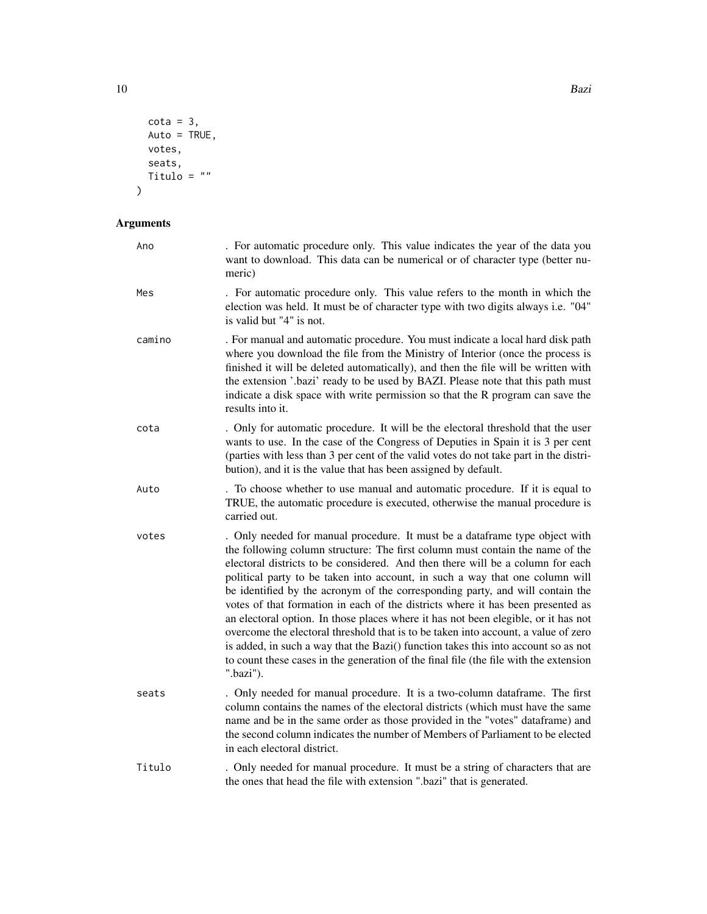```
\cot a = 3,
Auto = TRUE,votes,
seats,
Titulo = ""
```
 $\mathcal{L}$ 

#### Arguments

| Ano    | . For automatic procedure only. This value indicates the year of the data you<br>want to download. This data can be numerical or of character type (better nu-<br>meric)                                                                                                                                                                                                                                                                                                                                                                                                                                                                                                                                                                                                                                                                                                   |
|--------|----------------------------------------------------------------------------------------------------------------------------------------------------------------------------------------------------------------------------------------------------------------------------------------------------------------------------------------------------------------------------------------------------------------------------------------------------------------------------------------------------------------------------------------------------------------------------------------------------------------------------------------------------------------------------------------------------------------------------------------------------------------------------------------------------------------------------------------------------------------------------|
| Mes    | . For automatic procedure only. This value refers to the month in which the<br>election was held. It must be of character type with two digits always i.e. "04"<br>is valid but "4" is not.                                                                                                                                                                                                                                                                                                                                                                                                                                                                                                                                                                                                                                                                                |
| camino | . For manual and automatic procedure. You must indicate a local hard disk path<br>where you download the file from the Ministry of Interior (once the process is<br>finished it will be deleted automatically), and then the file will be written with<br>the extension '.bazi' ready to be used by BAZI. Please note that this path must<br>indicate a disk space with write permission so that the R program can save the<br>results into it.                                                                                                                                                                                                                                                                                                                                                                                                                            |
| cota   | . Only for automatic procedure. It will be the electoral threshold that the user<br>wants to use. In the case of the Congress of Deputies in Spain it is 3 per cent<br>(parties with less than 3 per cent of the valid votes do not take part in the distri-<br>bution), and it is the value that has been assigned by default.                                                                                                                                                                                                                                                                                                                                                                                                                                                                                                                                            |
| Auto   | . To choose whether to use manual and automatic procedure. If it is equal to<br>TRUE, the automatic procedure is executed, otherwise the manual procedure is<br>carried out.                                                                                                                                                                                                                                                                                                                                                                                                                                                                                                                                                                                                                                                                                               |
| votes  | . Only needed for manual procedure. It must be a dataframe type object with<br>the following column structure: The first column must contain the name of the<br>electoral districts to be considered. And then there will be a column for each<br>political party to be taken into account, in such a way that one column will<br>be identified by the acronym of the corresponding party, and will contain the<br>votes of that formation in each of the districts where it has been presented as<br>an electoral option. In those places where it has not been elegible, or it has not<br>overcome the electoral threshold that is to be taken into account, a value of zero<br>is added, in such a way that the Bazi() function takes this into account so as not<br>to count these cases in the generation of the final file (the file with the extension<br>".bazi"). |
| seats  | . Only needed for manual procedure. It is a two-column dataframe. The first<br>column contains the names of the electoral districts (which must have the same<br>name and be in the same order as those provided in the "votes" dataframe) and<br>the second column indicates the number of Members of Parliament to be elected<br>in each electoral district.                                                                                                                                                                                                                                                                                                                                                                                                                                                                                                             |
| Titulo | . Only needed for manual procedure. It must be a string of characters that are<br>the ones that head the file with extension ".bazi" that is generated.                                                                                                                                                                                                                                                                                                                                                                                                                                                                                                                                                                                                                                                                                                                    |

10 **Bazi**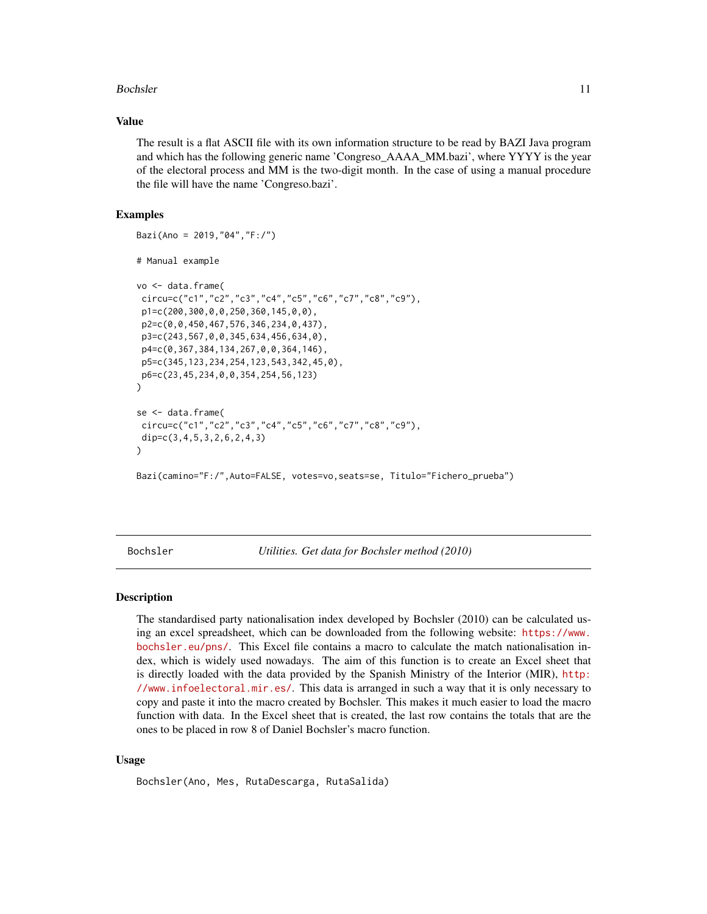#### <span id="page-10-0"></span>Bochsler 11

#### Value

The result is a flat ASCII file with its own information structure to be read by BAZI Java program and which has the following generic name 'Congreso\_AAAA\_MM.bazi', where YYYY is the year of the electoral process and MM is the two-digit month. In the case of using a manual procedure the file will have the name 'Congreso.bazi'.

#### Examples

```
Bazi(Ano = 2019,"04","F:/")
# Manual example
vo <- data.frame(
circu=c("c1","c2","c3","c4","c5","c6","c7","c8","c9"),
 p1=c(200,300,0,0,250,360,145,0,0),
p2=c(0,0,450,467,576,346,234,0,437),
p3=c(243,567,0,0,345,634,456,634,0),
 p4=c(0,367,384,134,267,0,0,364,146),
 p5=c(345,123,234,254,123,543,342,45,0),
p6=c(23,45,234,0,0,354,254,56,123)
)
se <- data.frame(
circu=c("c1","c2","c3","c4","c5","c6","c7","c8","c9"),
dip=c(3,4,5,3,2,6,2,4,3)
)
Bazi(camino="F:/",Auto=FALSE, votes=vo,seats=se, Titulo="Fichero_prueba")
```
Bochsler *Utilities. Get data for Bochsler method (2010)*

#### Description

The standardised party nationalisation index developed by Bochsler (2010) can be calculated using an excel spreadsheet, which can be downloaded from the following website: [https://www.](https://www.bochsler.eu/pns/) [bochsler.eu/pns/](https://www.bochsler.eu/pns/). This Excel file contains a macro to calculate the match nationalisation index, which is widely used nowadays. The aim of this function is to create an Excel sheet that is directly loaded with the data provided by the Spanish Ministry of the Interior (MIR), [http:](http://www.infoelectoral.mir.es/) [//www.infoelectoral.mir.es/](http://www.infoelectoral.mir.es/). This data is arranged in such a way that it is only necessary to copy and paste it into the macro created by Bochsler. This makes it much easier to load the macro function with data. In the Excel sheet that is created, the last row contains the totals that are the ones to be placed in row 8 of Daniel Bochsler's macro function.

#### Usage

Bochsler(Ano, Mes, RutaDescarga, RutaSalida)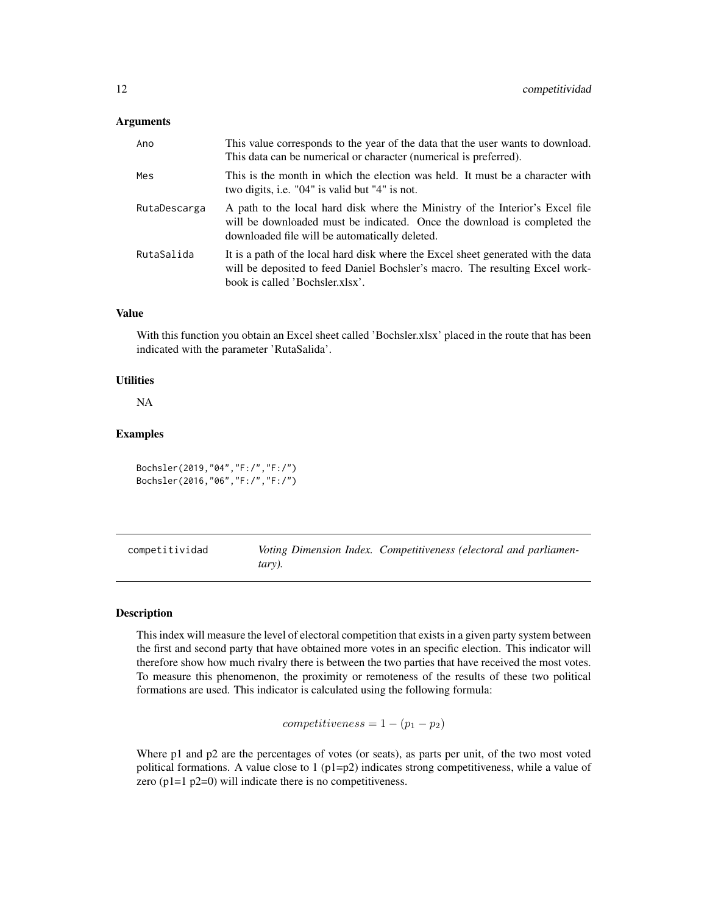#### <span id="page-11-0"></span>**Arguments**

| Ano          | This value corresponds to the year of the data that the user wants to download.<br>This data can be numerical or character (numerical is preferred).                                                        |
|--------------|-------------------------------------------------------------------------------------------------------------------------------------------------------------------------------------------------------------|
| Mes          | This is the month in which the election was held. It must be a character with<br>two digits, i.e. "04" is valid but "4" is not.                                                                             |
| RutaDescarga | A path to the local hard disk where the Ministry of the Interior's Excel file<br>will be downloaded must be indicated. Once the download is completed the<br>downloaded file will be automatically deleted. |
| RutaSalida   | It is a path of the local hard disk where the Excel sheet generated with the data<br>will be deposited to feed Daniel Bochsler's macro. The resulting Excel work-<br>book is called 'Bochsler.xlsx'.        |

#### Value

With this function you obtain an Excel sheet called 'Bochsler.xlsx' placed in the route that has been indicated with the parameter 'RutaSalida'.

#### **Utilities**

NA

#### Examples

Bochsler(2019,"04","F:/","F:/") Bochsler(2016,"06","F:/","F:/")

competitividad *Voting Dimension Index. Competitiveness (electoral and parliamentary).*

#### Description

This index will measure the level of electoral competition that exists in a given party system between the first and second party that have obtained more votes in an specific election. This indicator will therefore show how much rivalry there is between the two parties that have received the most votes. To measure this phenomenon, the proximity or remoteness of the results of these two political formations are used. This indicator is calculated using the following formula:

 $competitiveness = 1 - (p_1 - p_2)$ 

Where p1 and p2 are the percentages of votes (or seats), as parts per unit, of the two most voted political formations. A value close to  $1 (p1=p2)$  indicates strong competitiveness, while a value of zero (p1=1 p2=0) will indicate there is no competitiveness.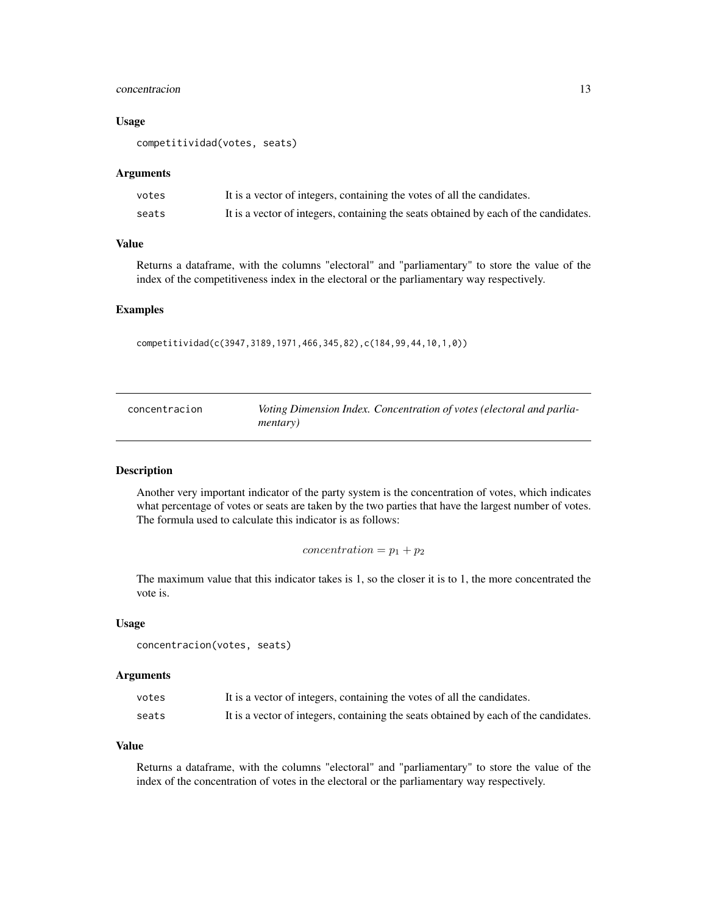#### <span id="page-12-0"></span>concentracion and the concentracion of the concentracion and the concentracion of the concentracion of the concentracion of the concentracion of the concentracion of the concentracion of the concentracion of the concentrac

#### Usage

```
competitividad(votes, seats)
```
#### Arguments

| votes | It is a vector of integers, containing the votes of all the candidates.              |
|-------|--------------------------------------------------------------------------------------|
| seats | It is a vector of integers, containing the seats obtained by each of the candidates. |

#### Value

Returns a dataframe, with the columns "electoral" and "parliamentary" to store the value of the index of the competitiveness index in the electoral or the parliamentary way respectively.

#### Examples

competitividad(c(3947,3189,1971,466,345,82),c(184,99,44,10,1,0))

| concentracion | Voting Dimension Index. Concentration of votes (electoral and parlia- |
|---------------|-----------------------------------------------------------------------|
|               | <i>mentary</i> )                                                      |

#### Description

Another very important indicator of the party system is the concentration of votes, which indicates what percentage of votes or seats are taken by the two parties that have the largest number of votes. The formula used to calculate this indicator is as follows:

```
concentration = p_1 + p_2
```
The maximum value that this indicator takes is 1, so the closer it is to 1, the more concentrated the vote is.

#### Usage

```
concentracion(votes, seats)
```
#### Arguments

| votes | It is a vector of integers, containing the votes of all the candidates.              |
|-------|--------------------------------------------------------------------------------------|
| seats | It is a vector of integers, containing the seats obtained by each of the candidates. |

#### Value

Returns a dataframe, with the columns "electoral" and "parliamentary" to store the value of the index of the concentration of votes in the electoral or the parliamentary way respectively.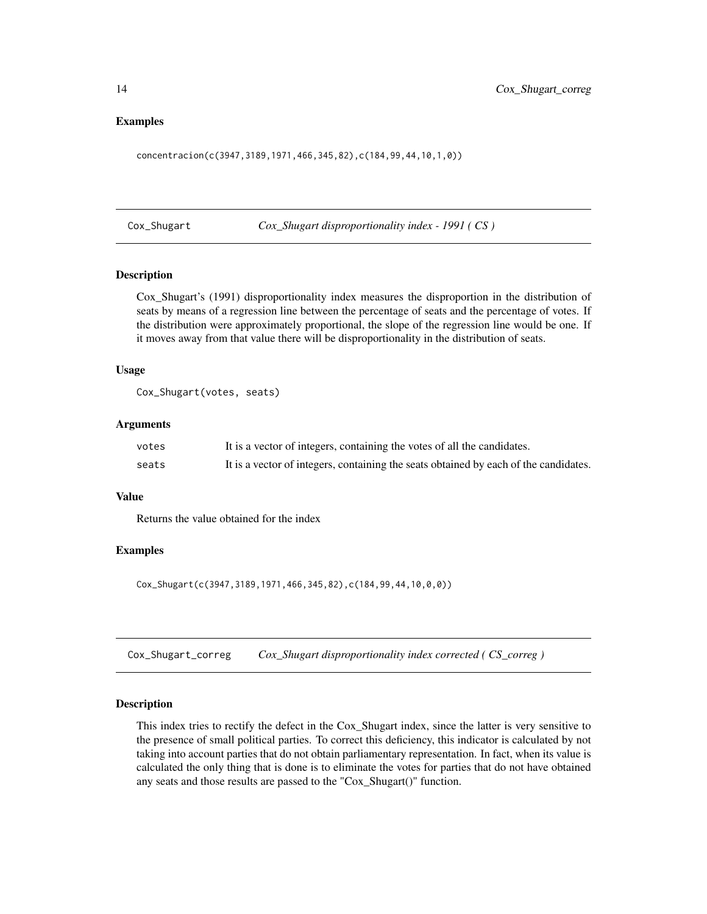#### <span id="page-13-0"></span>Examples

concentracion(c(3947,3189,1971,466,345,82),c(184,99,44,10,1,0))

Cox\_Shugart *Cox\_Shugart disproportionality index - 1991 ( CS )*

#### Description

Cox\_Shugart's (1991) disproportionality index measures the disproportion in the distribution of seats by means of a regression line between the percentage of seats and the percentage of votes. If the distribution were approximately proportional, the slope of the regression line would be one. If it moves away from that value there will be disproportionality in the distribution of seats.

#### Usage

```
Cox_Shugart(votes, seats)
```
#### Arguments

| votes | It is a vector of integers, containing the votes of all the candidates.              |
|-------|--------------------------------------------------------------------------------------|
| seats | It is a vector of integers, containing the seats obtained by each of the candidates. |

#### Value

Returns the value obtained for the index

#### Examples

Cox\_Shugart(c(3947,3189,1971,466,345,82),c(184,99,44,10,0,0))

Cox\_Shugart\_correg *Cox\_Shugart disproportionality index corrected ( CS\_correg )*

#### **Description**

This index tries to rectify the defect in the Cox\_Shugart index, since the latter is very sensitive to the presence of small political parties. To correct this deficiency, this indicator is calculated by not taking into account parties that do not obtain parliamentary representation. In fact, when its value is calculated the only thing that is done is to eliminate the votes for parties that do not have obtained any seats and those results are passed to the "Cox\_Shugart()" function.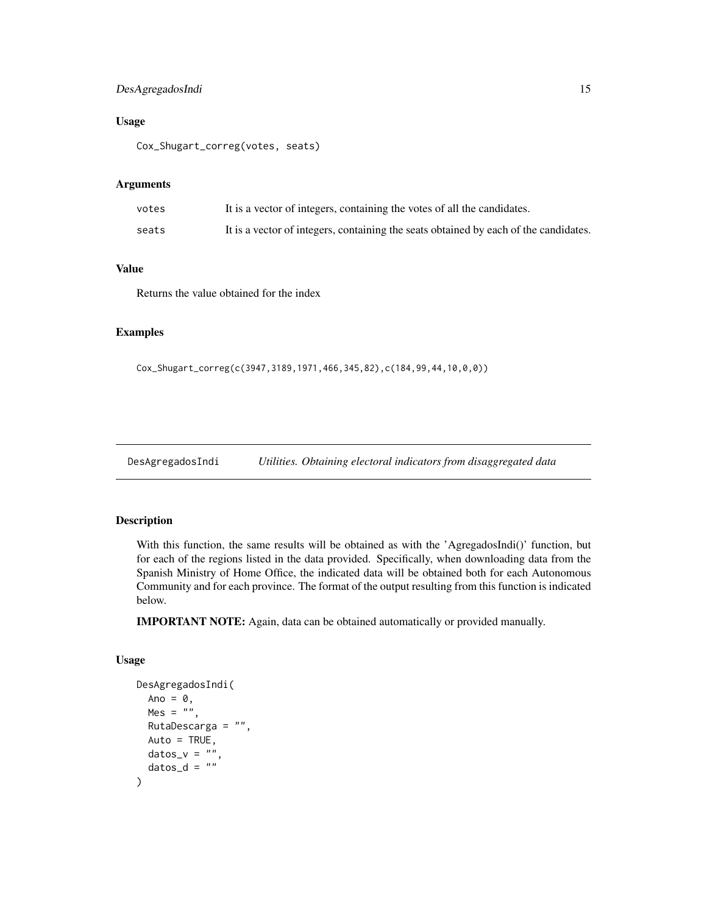#### <span id="page-14-0"></span>DesAgregadosIndi 15

#### Usage

Cox\_Shugart\_correg(votes, seats)

#### Arguments

| votes | It is a vector of integers, containing the votes of all the candidates.              |
|-------|--------------------------------------------------------------------------------------|
| seats | It is a vector of integers, containing the seats obtained by each of the candidates. |

#### Value

Returns the value obtained for the index

#### Examples

Cox\_Shugart\_correg(c(3947,3189,1971,466,345,82),c(184,99,44,10,0,0))

DesAgregadosIndi *Utilities. Obtaining electoral indicators from disaggregated data*

#### Description

With this function, the same results will be obtained as with the 'AgregadosIndi()' function, but for each of the regions listed in the data provided. Specifically, when downloading data from the Spanish Ministry of Home Office, the indicated data will be obtained both for each Autonomous Community and for each province. The format of the output resulting from this function is indicated below.

IMPORTANT NOTE: Again, data can be obtained automatically or provided manually.

#### Usage

```
DesAgregadosIndi(
  Ano = \theta,
 Mes = \ddot{''},
  RutaDescarga = "",
  Auto = TRUE,datas_v = "datas_d = ")
```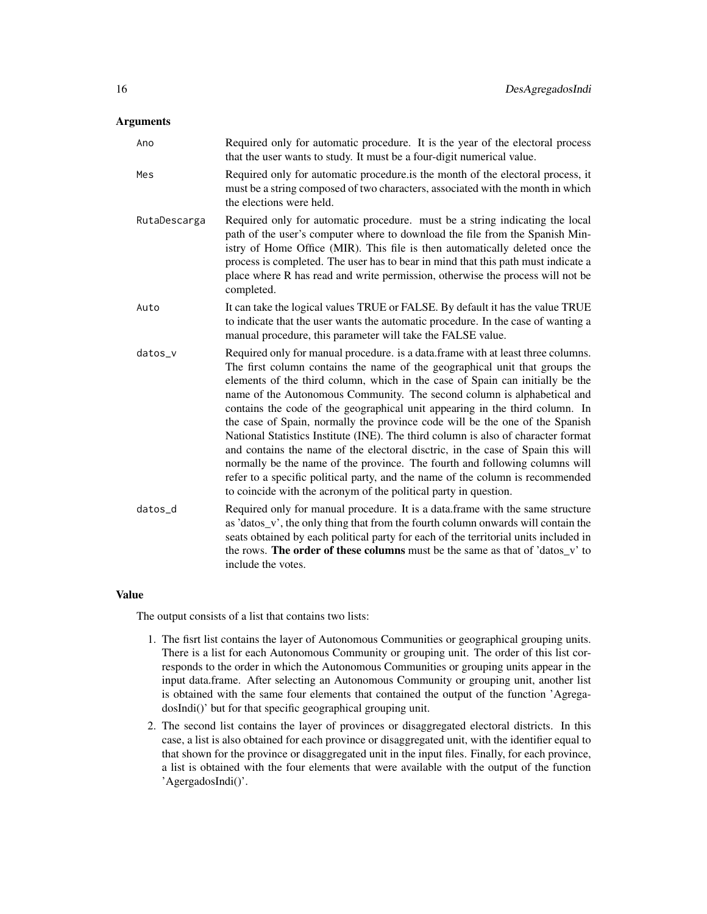#### Arguments

Ano Required only for automatic procedure. It is the year of the electoral process that the user wants to study. It must be a four-digit numerical value. Mes Required only for automatic procedure.is the month of the electoral process, it must be a string composed of two characters, associated with the month in which the elections were held. RutaDescarga Required only for automatic procedure. must be a string indicating the local path of the user's computer where to download the file from the Spanish Ministry of Home Office (MIR). This file is then automatically deleted once the process is completed. The user has to bear in mind that this path must indicate a place where R has read and write permission, otherwise the process will not be completed. Auto It can take the logical values TRUE or FALSE. By default it has the value TRUE to indicate that the user wants the automatic procedure. In the case of wanting a manual procedure, this parameter will take the FALSE value. datos\_v Required only for manual procedure. is a data.frame with at least three columns. The first column contains the name of the geographical unit that groups the elements of the third column, which in the case of Spain can initially be the name of the Autonomous Community. The second column is alphabetical and contains the code of the geographical unit appearing in the third column. In the case of Spain, normally the province code will be the one of the Spanish National Statistics Institute (INE). The third column is also of character format and contains the name of the electoral disctric, in the case of Spain this will normally be the name of the province. The fourth and following columns will refer to a specific political party, and the name of the column is recommended to coincide with the acronym of the political party in question. datos\_d Required only for manual procedure. It is a data.frame with the same structure as 'datos\_v', the only thing that from the fourth column onwards will contain the seats obtained by each political party for each of the territorial units included in the rows. The order of these columns must be the same as that of 'datos\_v' to include the votes.

#### Value

The output consists of a list that contains two lists:

- 1. The fisrt list contains the layer of Autonomous Communities or geographical grouping units. There is a list for each Autonomous Community or grouping unit. The order of this list corresponds to the order in which the Autonomous Communities or grouping units appear in the input data.frame. After selecting an Autonomous Community or grouping unit, another list is obtained with the same four elements that contained the output of the function 'AgregadosIndi()' but for that specific geographical grouping unit.
- 2. The second list contains the layer of provinces or disaggregated electoral districts. In this case, a list is also obtained for each province or disaggregated unit, with the identifier equal to that shown for the province or disaggregated unit in the input files. Finally, for each province, a list is obtained with the four elements that were available with the output of the function 'AgergadosIndi()'.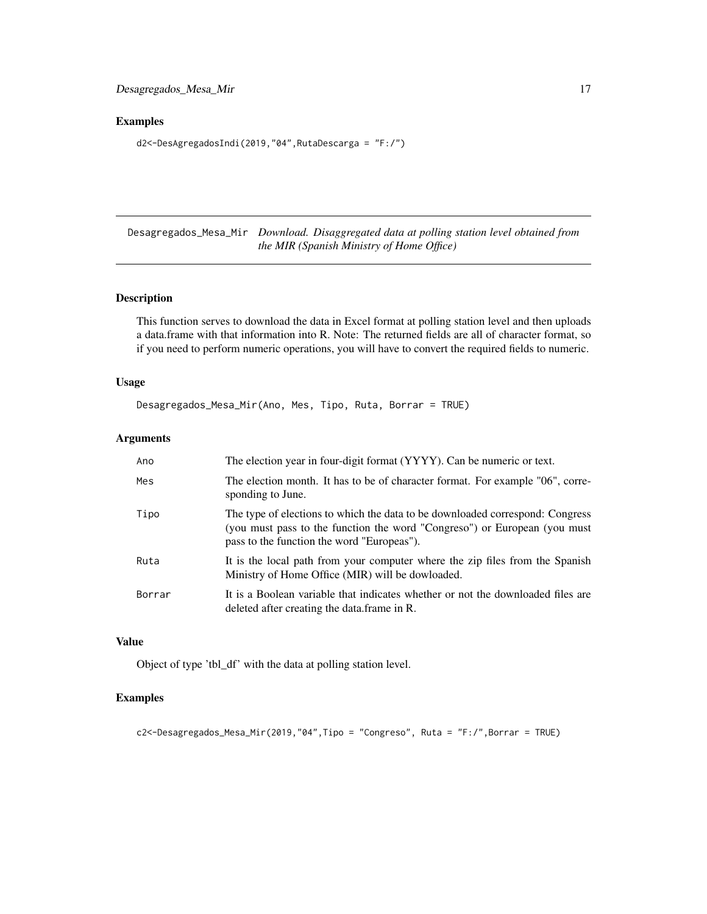#### <span id="page-16-0"></span>Examples

d2<-DesAgregadosIndi(2019,"04",RutaDescarga = "F:/")

Desagregados\_Mesa\_Mir *Download. Disaggregated data at polling station level obtained from the MIR (Spanish Ministry of Home Office)*

#### Description

This function serves to download the data in Excel format at polling station level and then uploads a data.frame with that information into R. Note: The returned fields are all of character format, so if you need to perform numeric operations, you will have to convert the required fields to numeric.

#### Usage

```
Desagregados_Mesa_Mir(Ano, Mes, Tipo, Ruta, Borrar = TRUE)
```
#### Arguments

| Ano    | The election year in four-digit format (YYYY). Can be numeric or text.                                                                                                                                   |
|--------|----------------------------------------------------------------------------------------------------------------------------------------------------------------------------------------------------------|
| Mes    | The election month. It has to be of character format. For example "06", corre-<br>sponding to June.                                                                                                      |
| Tipo   | The type of elections to which the data to be downloaded correspond: Congress<br>(you must pass to the function the word "Congreso") or European (you must<br>pass to the function the word "Europeas"). |
| Ruta   | It is the local path from your computer where the zip files from the Spanish<br>Ministry of Home Office (MIR) will be dowloaded.                                                                         |
| Borrar | It is a Boolean variable that indicates whether or not the downloaded files are<br>deleted after creating the data frame in R.                                                                           |

#### Value

Object of type 'tbl\_df' with the data at polling station level.

#### Examples

```
c2<-Desagregados_Mesa_Mir(2019,"04",Tipo = "Congreso", Ruta = "F:/",Borrar = TRUE)
```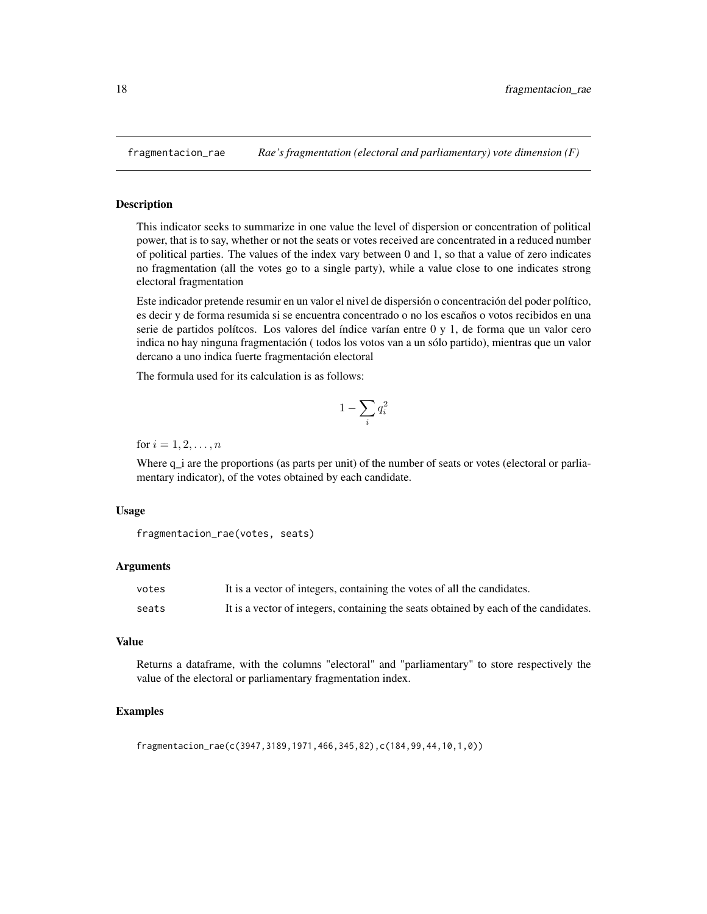<span id="page-17-0"></span>

This indicator seeks to summarize in one value the level of dispersion or concentration of political power, that is to say, whether or not the seats or votes received are concentrated in a reduced number of political parties. The values of the index vary between 0 and 1, so that a value of zero indicates no fragmentation (all the votes go to a single party), while a value close to one indicates strong electoral fragmentation

Este indicador pretende resumir en un valor el nivel de dispersión o concentración del poder político, es decir y de forma resumida si se encuentra concentrado o no los escaños o votos recibidos en una serie de partidos polítcos. Los valores del índice varían entre 0 y 1, de forma que un valor cero indica no hay ninguna fragmentación ( todos los votos van a un sólo partido), mientras que un valor dercano a uno indica fuerte fragmentación electoral

The formula used for its calculation is as follows:

$$
1-\sum_i q_i^2
$$

for  $i = 1, 2, \ldots, n$ 

Where  $q_i$  are the proportions (as parts per unit) of the number of seats or votes (electoral or parliamentary indicator), of the votes obtained by each candidate.

#### Usage

```
fragmentacion_rae(votes, seats)
```
#### Arguments

| votes | It is a vector of integers, containing the votes of all the candidates.              |
|-------|--------------------------------------------------------------------------------------|
| seats | It is a vector of integers, containing the seats obtained by each of the candidates. |

#### Value

Returns a dataframe, with the columns "electoral" and "parliamentary" to store respectively the value of the electoral or parliamentary fragmentation index.

#### Examples

```
fragmentacion_rae(c(3947,3189,1971,466,345,82),c(184,99,44,10,1,0))
```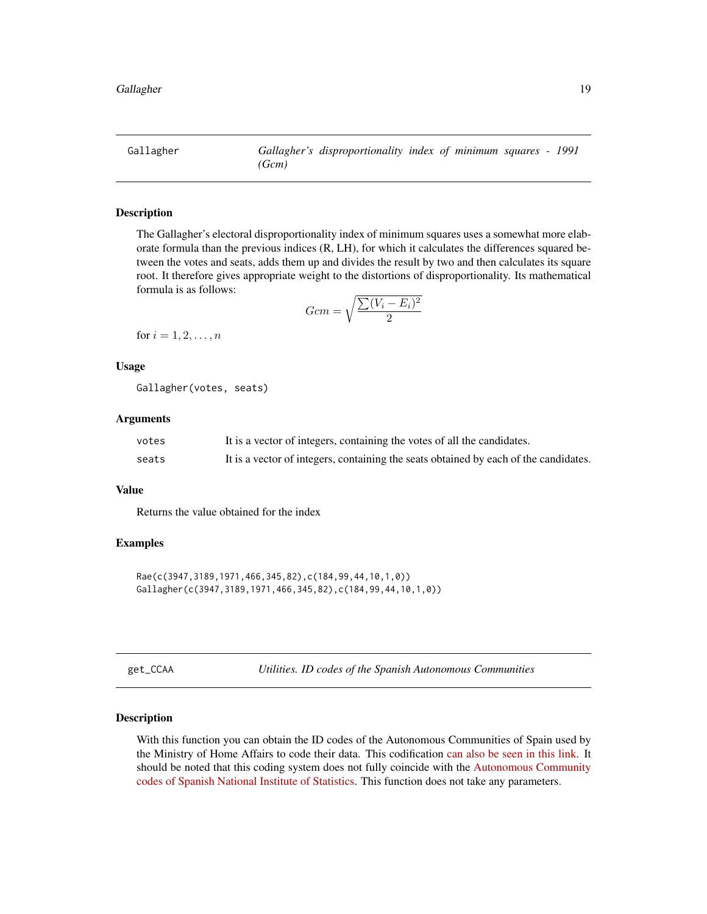<span id="page-18-0"></span>Gallagher *Gallagher's disproportionality index of minimum squares - 1991 (Gcm)*

#### Description

The Gallagher's electoral disproportionality index of minimum squares uses a somewhat more elaborate formula than the previous indices (R, LH), for which it calculates the differences squared between the votes and seats, adds them up and divides the result by two and then calculates its square root. It therefore gives appropriate weight to the distortions of disproportionality. Its mathematical formula is as follows:

$$
Gcm = \sqrt{\frac{\sum (V_i - E_i)^2}{2}}
$$

for  $i = 1, 2, ..., n$ 

#### Usage

Gallagher(votes, seats)

#### Arguments

| votes | It is a vector of integers, containing the votes of all the candidates.              |
|-------|--------------------------------------------------------------------------------------|
| seats | It is a vector of integers, containing the seats obtained by each of the candidates. |

#### Value

Returns the value obtained for the index

#### Examples

```
Rae(c(3947,3189,1971,466,345,82),c(184,99,44,10,1,0))
Gallagher(c(3947,3189,1971,466,345,82),c(184,99,44,10,1,0))
```

| σρ<br>Г | `CAA |  |
|---------|------|--|
|         |      |  |
|         |      |  |

get\_CCAA *Utilities. ID codes of the Spanish Autonomous Communities*

#### Description

With this function you can obtain the ID codes of the Autonomous Communities of Spain used by the Ministry of Home Affairs to code their data. This codification [can also be seen in this link.](https://github.com/Miguelro/Electoral/blob/master/Diseno_Registros_MIR/Diseno_Registros.pdf) It should be noted that this coding system does not fully coincide with the [Autonomous Community](https://www.ine.es/daco/daco42/codmun/cod_ccaa.htm) [codes of Spanish National Institute of Statistics.](https://www.ine.es/daco/daco42/codmun/cod_ccaa.htm) This function does not take any parameters.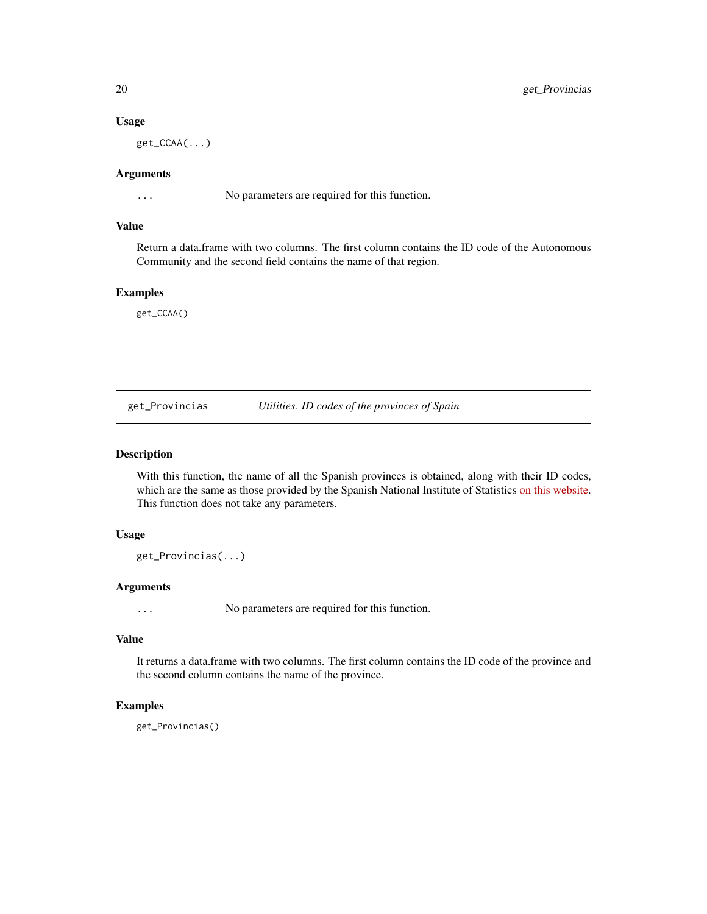#### Usage

get\_CCAA(...)

#### Arguments

... No parameters are required for this function.

#### Value

Return a data.frame with two columns. The first column contains the ID code of the Autonomous Community and the second field contains the name of that region.

#### Examples

get\_CCAA()

get\_Provincias *Utilities. ID codes of the provinces of Spain*

#### Description

With this function, the name of all the Spanish provinces is obtained, along with their ID codes, which are the same as those provided by the Spanish National Institute of Statistics [on this website.](https://www.ine.es/daco/daco42/codmun/cod_provincia.htm) This function does not take any parameters.

#### Usage

get\_Provincias(...)

#### Arguments

... No parameters are required for this function.

#### Value

It returns a data.frame with two columns. The first column contains the ID code of the province and the second column contains the name of the province.

#### Examples

get\_Provincias()

<span id="page-19-0"></span>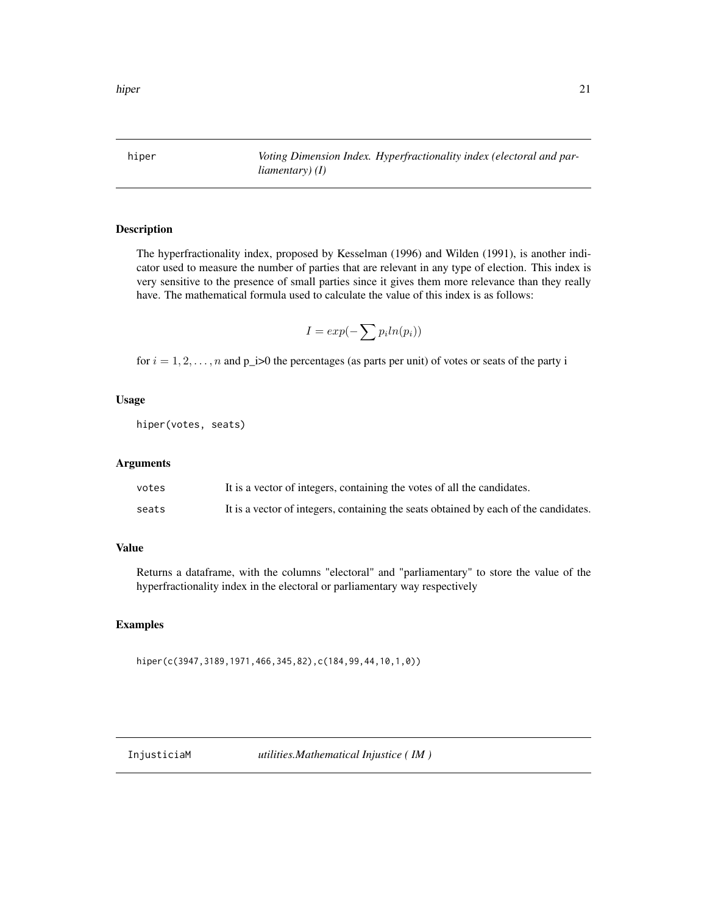<span id="page-20-0"></span>hiper *Voting Dimension Index. Hyperfractionality index (electoral and parliamentary) (I)*

#### Description

The hyperfractionality index, proposed by Kesselman (1996) and Wilden (1991), is another indicator used to measure the number of parties that are relevant in any type of election. This index is very sensitive to the presence of small parties since it gives them more relevance than they really have. The mathematical formula used to calculate the value of this index is as follows:

$$
I = exp(-\sum p_i ln(p_i))
$$

for  $i = 1, 2, \ldots, n$  and  $p_i > 0$  the percentages (as parts per unit) of votes or seats of the party i

#### Usage

hiper(votes, seats)

#### Arguments

| votes | It is a vector of integers, containing the votes of all the candidates.              |
|-------|--------------------------------------------------------------------------------------|
| seats | It is a vector of integers, containing the seats obtained by each of the candidates. |

#### Value

Returns a dataframe, with the columns "electoral" and "parliamentary" to store the value of the hyperfractionality index in the electoral or parliamentary way respectively

#### Examples

hiper(c(3947,3189,1971,466,345,82),c(184,99,44,10,1,0))

InjusticiaM *utilities.Mathematical Injustice ( IM )*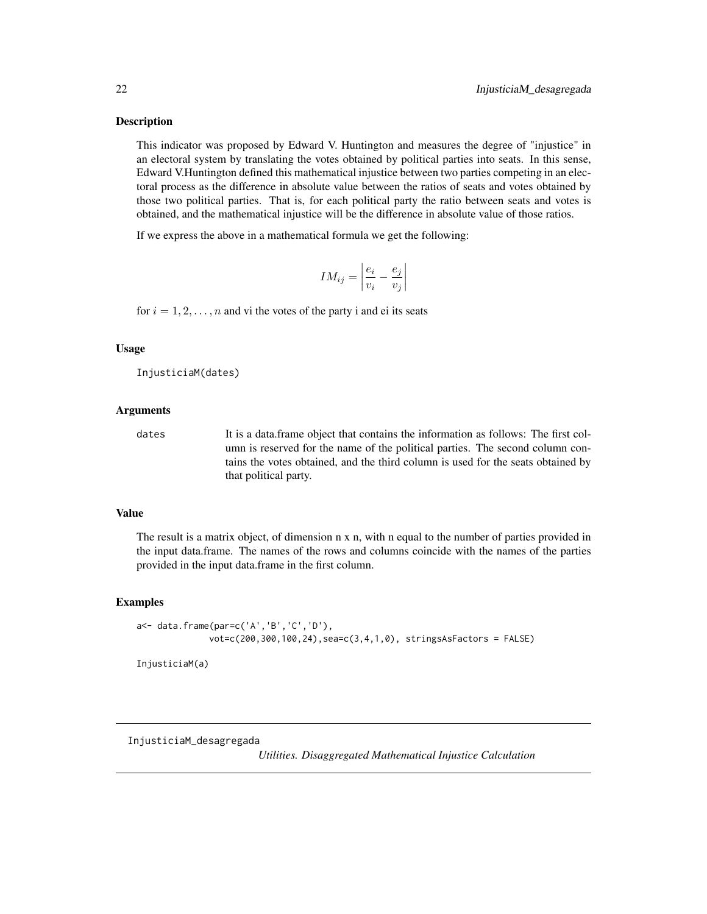<span id="page-21-0"></span>This indicator was proposed by Edward V. Huntington and measures the degree of "injustice" in an electoral system by translating the votes obtained by political parties into seats. In this sense, Edward V.Huntington defined this mathematical injustice between two parties competing in an electoral process as the difference in absolute value between the ratios of seats and votes obtained by those two political parties. That is, for each political party the ratio between seats and votes is obtained, and the mathematical injustice will be the difference in absolute value of those ratios.

If we express the above in a mathematical formula we get the following:

$$
IM_{ij} = \left| \frac{e_i}{v_i} - \frac{e_j}{v_j} \right|
$$

for  $i = 1, 2, \ldots, n$  and vi the votes of the party i and ei its seats

#### Usage

```
InjusticiaM(dates)
```
#### Arguments

dates It is a data.frame object that contains the information as follows: The first column is reserved for the name of the political parties. The second column contains the votes obtained, and the third column is used for the seats obtained by that political party.

#### Value

The result is a matrix object, of dimension n x n, with n equal to the number of parties provided in the input data.frame. The names of the rows and columns coincide with the names of the parties provided in the input data.frame in the first column.

#### Examples

```
a<- data.frame(par=c('A','B','C','D'),
              vot=c(200,300,100,24),sea=c(3,4,1,0), stringsAsFactors = FALSE)
```
InjusticiaM(a)

InjusticiaM\_desagregada

*Utilities. Disaggregated Mathematical Injustice Calculation*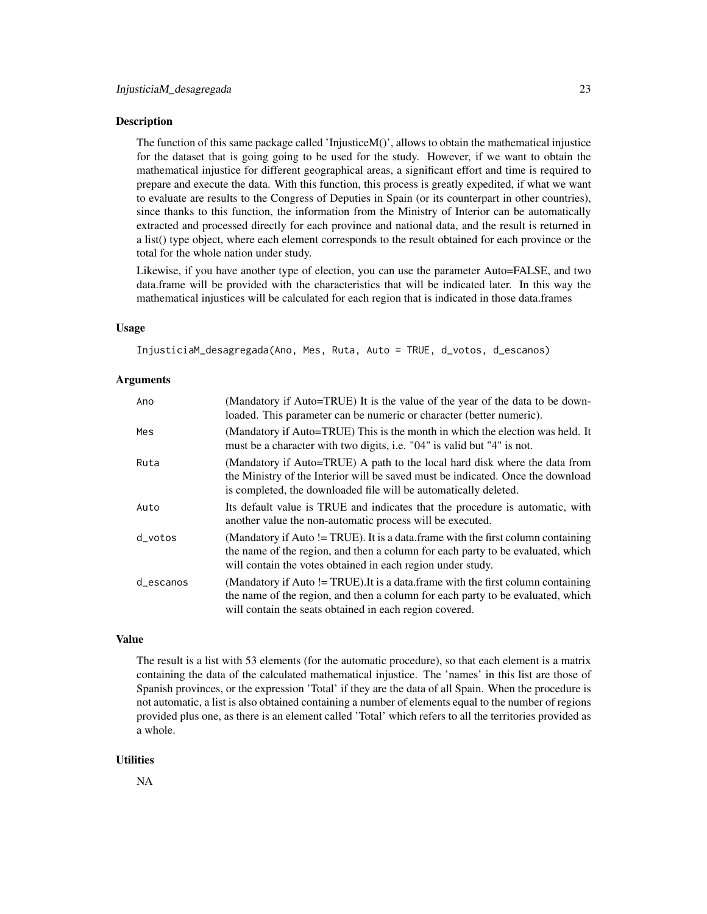The function of this same package called 'InjusticeM()', allows to obtain the mathematical injustice for the dataset that is going going to be used for the study. However, if we want to obtain the mathematical injustice for different geographical areas, a significant effort and time is required to prepare and execute the data. With this function, this process is greatly expedited, if what we want to evaluate are results to the Congress of Deputies in Spain (or its counterpart in other countries), since thanks to this function, the information from the Ministry of Interior can be automatically extracted and processed directly for each province and national data, and the result is returned in a list() type object, where each element corresponds to the result obtained for each province or the total for the whole nation under study.

Likewise, if you have another type of election, you can use the parameter Auto=FALSE, and two data.frame will be provided with the characteristics that will be indicated later. In this way the mathematical injustices will be calculated for each region that is indicated in those data.frames

#### Usage

InjusticiaM\_desagregada(Ano, Mes, Ruta, Auto = TRUE, d\_votos, d\_escanos)

#### Arguments

| Ano         | (Mandatory if Auto=TRUE) It is the value of the year of the data to be down-<br>loaded. This parameter can be numeric or character (better numeric).                                                                               |
|-------------|------------------------------------------------------------------------------------------------------------------------------------------------------------------------------------------------------------------------------------|
| Mes         | (Mandatory if Auto=TRUE) This is the month in which the election was held. It<br>must be a character with two digits, i.e. "04" is valid but "4" is not.                                                                           |
| Ruta        | (Mandatory if Auto=TRUE) A path to the local hard disk where the data from<br>the Ministry of the Interior will be saved must be indicated. Once the download<br>is completed, the downloaded file will be automatically deleted.  |
| Auto        | Its default value is TRUE and indicates that the procedure is automatic, with<br>another value the non-automatic process will be executed.                                                                                         |
| d votos     | (Mandatory if Auto != TRUE). It is a data frame with the first column containing<br>the name of the region, and then a column for each party to be evaluated, which<br>will contain the votes obtained in each region under study. |
| $d$ escanos | (Mandatory if Auto != TRUE). It is a data frame with the first column containing<br>the name of the region, and then a column for each party to be evaluated, which<br>will contain the seats obtained in each region covered.     |

#### Value

The result is a list with 53 elements (for the automatic procedure), so that each element is a matrix containing the data of the calculated mathematical injustice. The 'names' in this list are those of Spanish provinces, or the expression 'Total' if they are the data of all Spain. When the procedure is not automatic, a list is also obtained containing a number of elements equal to the number of regions provided plus one, as there is an element called 'Total' which refers to all the territories provided as a whole.

#### **Utilities**

NA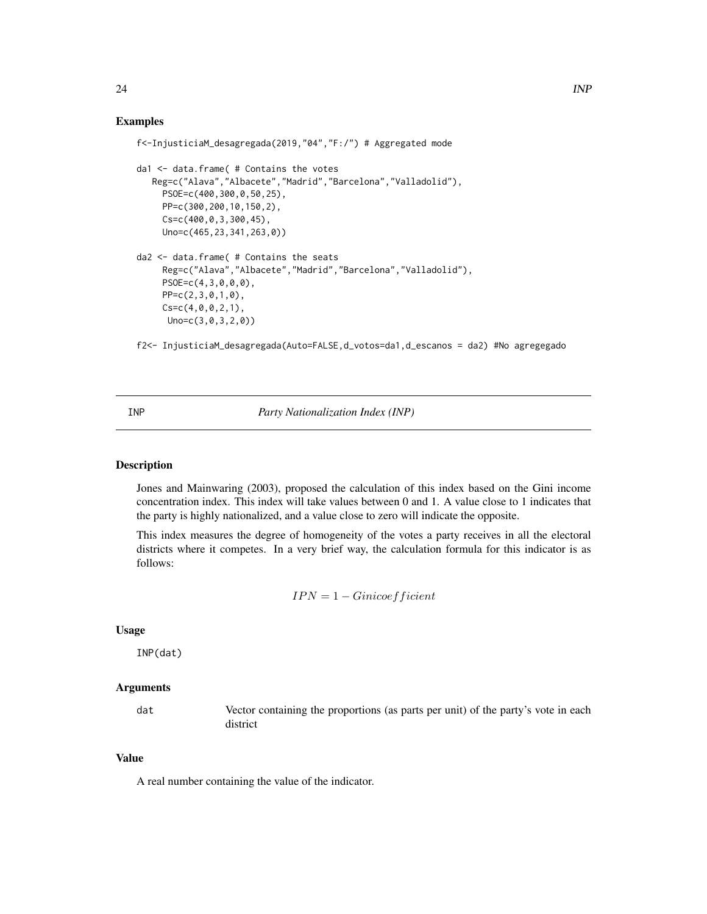#### $24$  INP

#### Examples

```
f<-InjusticiaM_desagregada(2019,"04","F:/") # Aggregated mode
da1 <- data.frame( # Contains the votes
  Reg=c("Alava","Albacete","Madrid","Barcelona","Valladolid"),
    PSOE=c(400,300,0,50,25),
    PP=c(300,200,10,150,2),
     Cs=c(400,0,3,300,45),
     Uno=c(465,23,341,263,0))
da2 <- data.frame( # Contains the seats
     Reg=c("Alava","Albacete","Madrid","Barcelona","Valladolid"),
    PSOE=c(4,3,0,0,0),
    PP=c(2,3,0,1,0),
    Cs=c(4,0,0,2,1),Uno=c(3,0,3,2,0))
```
f2<- InjusticiaM\_desagregada(Auto=FALSE,d\_votos=da1,d\_escanos = da2) #No agregegado

INP *Party Nationalization Index (INP)*

#### Description

Jones and Mainwaring (2003), proposed the calculation of this index based on the Gini income concentration index. This index will take values between 0 and 1. A value close to 1 indicates that the party is highly nationalized, and a value close to zero will indicate the opposite.

This index measures the degree of homogeneity of the votes a party receives in all the electoral districts where it competes. In a very brief way, the calculation formula for this indicator is as follows:

$$
IPN = 1 - Gini coefficient
$$

#### Usage

INP(dat)

#### Arguments

dat Vector containing the proportions (as parts per unit) of the party's vote in each district

#### Value

A real number containing the value of the indicator.

<span id="page-23-0"></span>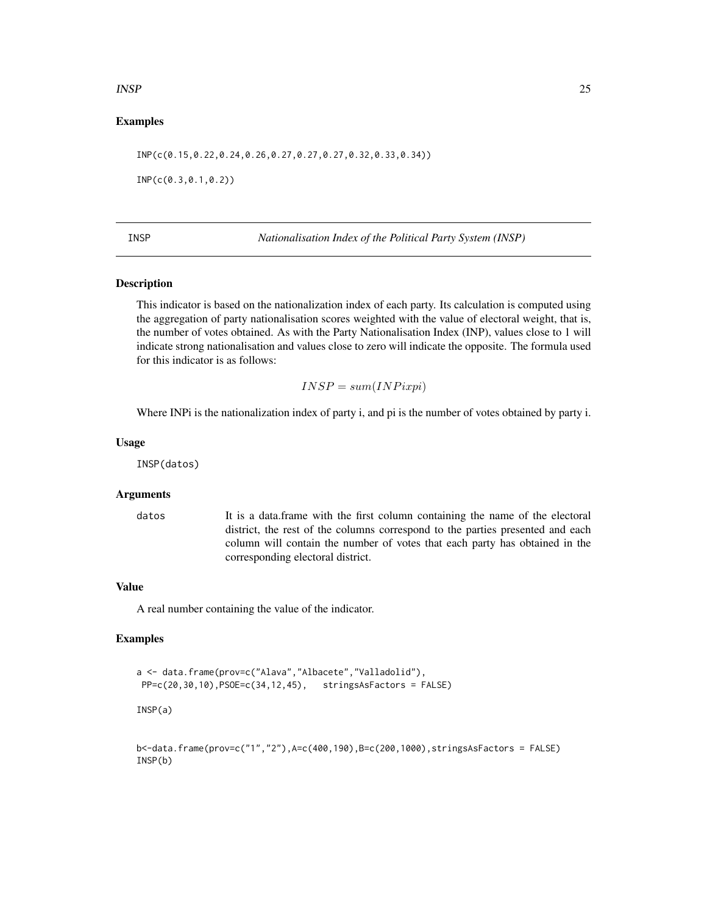#### <span id="page-24-0"></span> $INSP$  25

#### Examples

INP(c(0.15,0.22,0.24,0.26,0.27,0.27,0.27,0.32,0.33,0.34))

INP(c(0.3,0.1,0.2))

INSP *Nationalisation Index of the Political Party System (INSP)*

#### Description

This indicator is based on the nationalization index of each party. Its calculation is computed using the aggregation of party nationalisation scores weighted with the value of electoral weight, that is, the number of votes obtained. As with the Party Nationalisation Index (INP), values close to 1 will indicate strong nationalisation and values close to zero will indicate the opposite. The formula used for this indicator is as follows:

$$
INSP = sum(INPixpi)
$$

Where INPi is the nationalization index of party i, and pi is the number of votes obtained by party i.

#### Usage

INSP(datos)

#### Arguments

datos It is a data.frame with the first column containing the name of the electoral district, the rest of the columns correspond to the parties presented and each column will contain the number of votes that each party has obtained in the corresponding electoral district.

#### Value

A real number containing the value of the indicator.

#### Examples

```
a <- data.frame(prov=c("Alava","Albacete","Valladolid"),
PP=c(20,30,10),PSOE=c(34,12,45), stringsAsFactors = FALSE)
INSP(a)
b<-data.frame(prov=c("1","2"),A=c(400,190),B=c(200,1000),stringsAsFactors = FALSE)
INSP(b)
```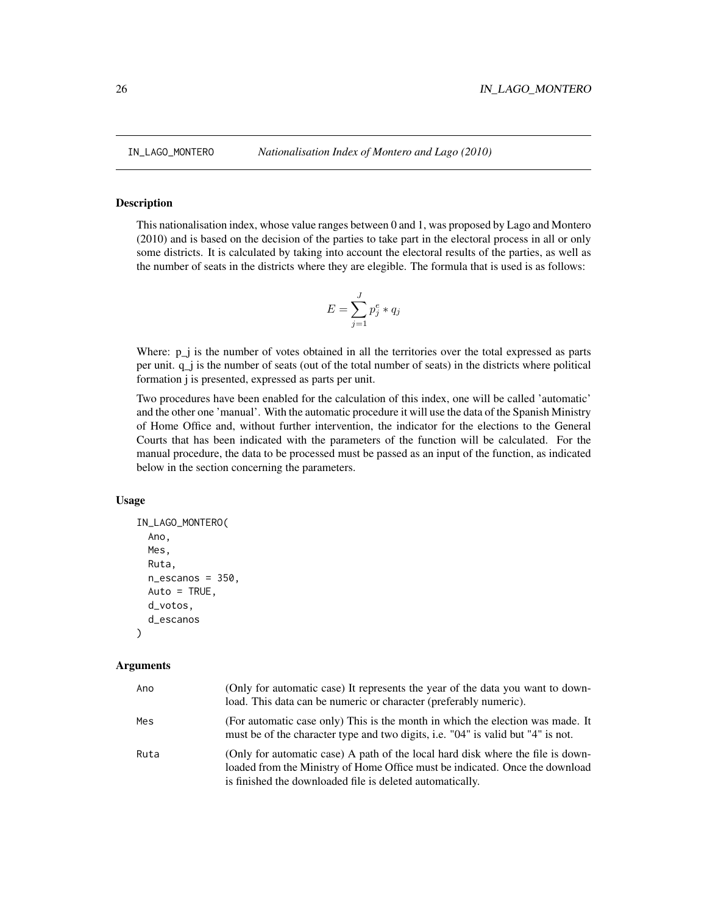This nationalisation index, whose value ranges between 0 and 1, was proposed by Lago and Montero (2010) and is based on the decision of the parties to take part in the electoral process in all or only some districts. It is calculated by taking into account the electoral results of the parties, as well as the number of seats in the districts where they are elegible. The formula that is used is as follows:

$$
E = \sum_{j=1}^{J} p_j^e * q_j
$$

Where: p\_j is the number of votes obtained in all the territories over the total expressed as parts per unit. q\_j is the number of seats (out of the total number of seats) in the districts where political formation j is presented, expressed as parts per unit.

Two procedures have been enabled for the calculation of this index, one will be called 'automatic' and the other one 'manual'. With the automatic procedure it will use the data of the Spanish Ministry of Home Office and, without further intervention, the indicator for the elections to the General Courts that has been indicated with the parameters of the function will be calculated. For the manual procedure, the data to be processed must be passed as an input of the function, as indicated below in the section concerning the parameters.

#### Usage

```
IN_LAGO_MONTERO(
  Ano,
  Mes,
  Ruta,
  n_escanos = 350,
 Auto = TRUE,
  d_votos,
  d_escanos
)
```
#### Arguments

| Ano  | (Only for automatic case) It represents the year of the data you want to down-<br>load. This data can be numeric or character (preferably numeric).                                                                          |
|------|------------------------------------------------------------------------------------------------------------------------------------------------------------------------------------------------------------------------------|
| Mes  | (For automatic case only) This is the month in which the election was made. It<br>must be of the character type and two digits, i.e. "04" is valid but "4" is not.                                                           |
| Ruta | (Only for automatic case) A path of the local hard disk where the file is down-<br>loaded from the Ministry of Home Office must be indicated. Once the download<br>is finished the downloaded file is deleted automatically. |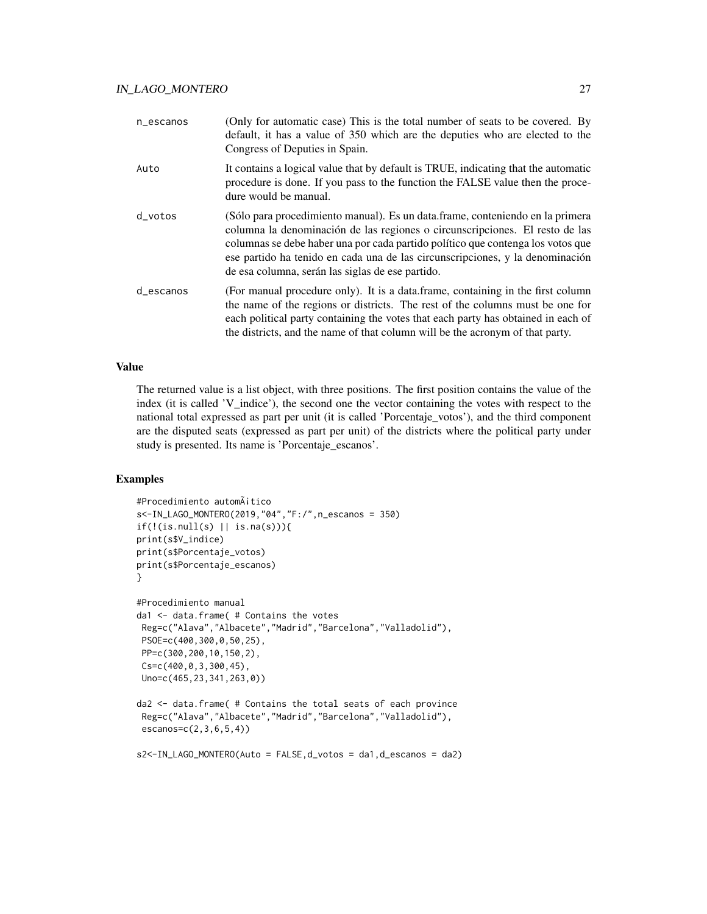| n_escanos | (Only for automatic case) This is the total number of seats to be covered. By<br>default, it has a value of 350 which are the deputies who are elected to the<br>Congress of Deputies in Spain.                                                                                                                                                                                       |
|-----------|---------------------------------------------------------------------------------------------------------------------------------------------------------------------------------------------------------------------------------------------------------------------------------------------------------------------------------------------------------------------------------------|
| Auto      | It contains a logical value that by default is TRUE, indicating that the automatic<br>procedure is done. If you pass to the function the FALSE value then the proce-<br>dure would be manual.                                                                                                                                                                                         |
| d_votos   | (Sólo para procedimiento manual). Es un data frame, conteniendo en la primera<br>columna la denominación de las regiones o circunscripciones. El resto de las<br>columnas se debe haber una por cada partido político que contenga los votos que<br>ese partido ha tenido en cada una de las circunscripciones, y la denominación<br>de esa columna, serán las siglas de ese partido. |
| d_escanos | (For manual procedure only). It is a data frame, containing in the first column<br>the name of the regions or districts. The rest of the columns must be one for<br>each political party containing the votes that each party has obtained in each of<br>the districts, and the name of that column will be the acronym of that party.                                                |

#### Value

The returned value is a list object, with three positions. The first position contains the value of the index (it is called 'V\_indice'), the second one the vector containing the votes with respect to the national total expressed as part per unit (it is called 'Porcentaje\_votos'), and the third component are the disputed seats (expressed as part per unit) of the districts where the political party under study is presented. Its name is 'Porcentaje\_escanos'.

#### Examples

```
#Procedimiento automático
s<-IN_LAGO_MONTERO(2019,"04","F:/",n_escanos = 350)
if(!(is.null(s) || is.na(s)))print(s$V_indice)
print(s$Porcentaje_votos)
print(s$Porcentaje_escanos)
}
#Procedimiento manual
da1 <- data.frame( # Contains the votes
Reg=c("Alava","Albacete","Madrid","Barcelona","Valladolid"),
PSOE=c(400,300,0,50,25),
PP=c(300,200,10,150,2),
Cs=c(400,0,3,300,45),
Uno=c(465,23,341,263,0))
da2 <- data.frame( # Contains the total seats of each province
Reg=c("Alava","Albacete","Madrid","Barcelona","Valladolid"),
escanos=c(2,3,6,5,4))
```

```
s2<-IN_LAGO_MONTERO(Auto = FALSE,d_votos = da1,d_escanos = da2)
```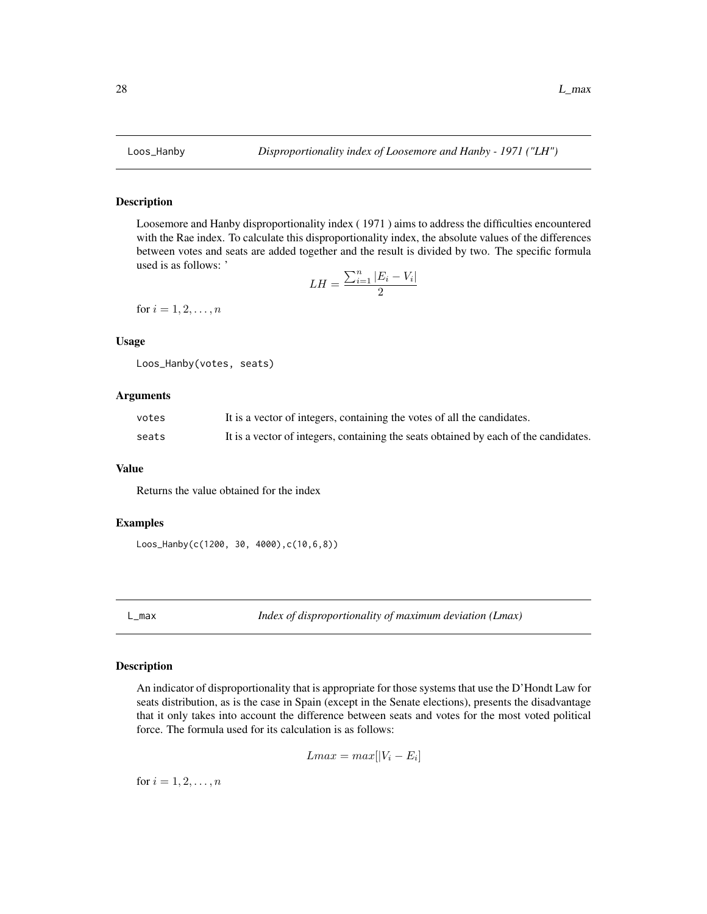<span id="page-27-0"></span>

Loosemore and Hanby disproportionality index ( 1971 ) aims to address the difficulties encountered with the Rae index. To calculate this disproportionality index, the absolute values of the differences between votes and seats are added together and the result is divided by two. The specific formula used is as follows: '

$$
LH = \frac{\sum_{i=1}^{n} |E_i - V_i|}{2}
$$

for  $i = 1, 2, ..., n$ 

#### Usage

```
Loos_Hanby(votes, seats)
```
#### Arguments

| votes | It is a vector of integers, containing the votes of all the candidates.              |
|-------|--------------------------------------------------------------------------------------|
| seats | It is a vector of integers, containing the seats obtained by each of the candidates. |

#### Value

Returns the value obtained for the index

#### Examples

```
Loos_Hanby(c(1200, 30, 4000),c(10,6,8))
```
L\_max *Index of disproportionality of maximum deviation (Lmax)*

#### Description

An indicator of disproportionality that is appropriate for those systems that use the D'Hondt Law for seats distribution, as is the case in Spain (except in the Senate elections), presents the disadvantage that it only takes into account the difference between seats and votes for the most voted political force. The formula used for its calculation is as follows:

 $Lmax = max[|V_i - E_i]$ 

for  $i = 1, 2, ..., n$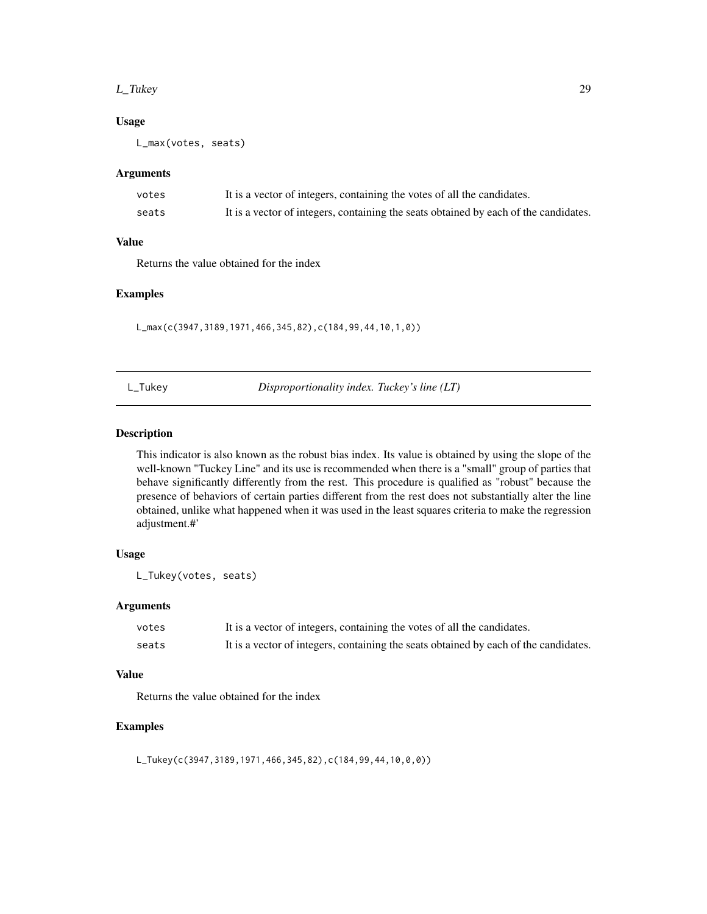#### <span id="page-28-0"></span>L\_Tukey 29

#### Usage

L\_max(votes, seats)

#### Arguments

| votes | It is a vector of integers, containing the votes of all the candidates.              |
|-------|--------------------------------------------------------------------------------------|
| seats | It is a vector of integers, containing the seats obtained by each of the candidates. |

#### Value

Returns the value obtained for the index

#### Examples

L\_max(c(3947,3189,1971,466,345,82),c(184,99,44,10,1,0))

L\_Tukey *Disproportionality index. Tuckey's line (LT)*

#### Description

This indicator is also known as the robust bias index. Its value is obtained by using the slope of the well-known "Tuckey Line" and its use is recommended when there is a "small" group of parties that behave significantly differently from the rest. This procedure is qualified as "robust" because the presence of behaviors of certain parties different from the rest does not substantially alter the line obtained, unlike what happened when it was used in the least squares criteria to make the regression adjustment.#'

#### Usage

L\_Tukey(votes, seats)

#### Arguments

| votes | It is a vector of integers, containing the votes of all the candidates.              |
|-------|--------------------------------------------------------------------------------------|
| seats | It is a vector of integers, containing the seats obtained by each of the candidates. |

#### Value

Returns the value obtained for the index

#### Examples

L\_Tukey(c(3947,3189,1971,466,345,82),c(184,99,44,10,0,0))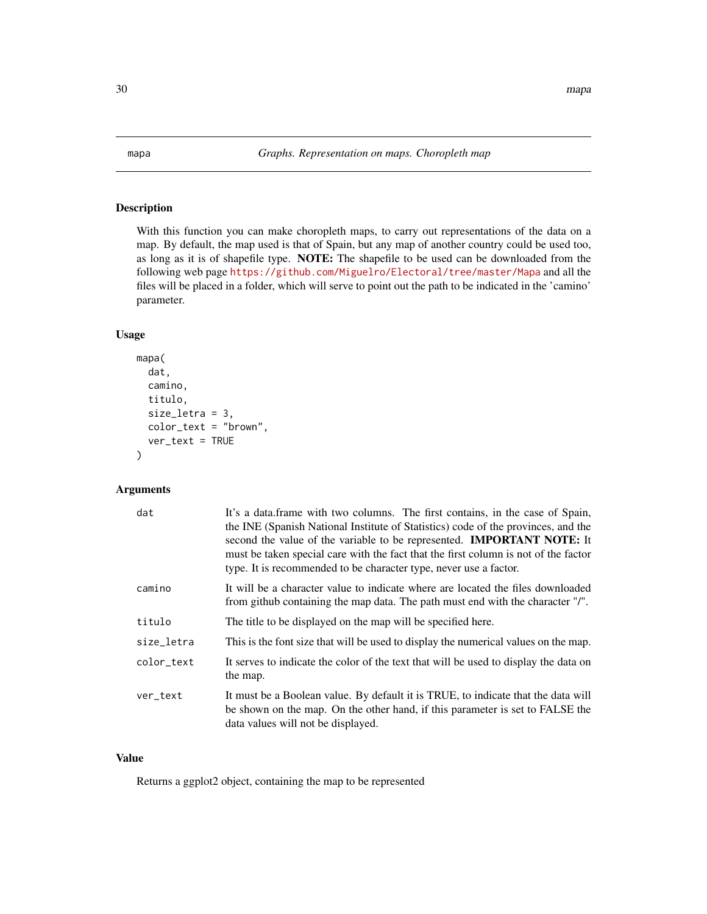<span id="page-29-0"></span>With this function you can make choropleth maps, to carry out representations of the data on a map. By default, the map used is that of Spain, but any map of another country could be used too, as long as it is of shapefile type. NOTE: The shapefile to be used can be downloaded from the following web page <https://github.com/Miguelro/Electoral/tree/master/Mapa> and all the files will be placed in a folder, which will serve to point out the path to be indicated in the 'camino' parameter.

#### Usage

```
mapa(
  dat,
  camino,
  titulo,
  size_letra = 3,
  color_text = "brown",
  ver\_text = TRUE)
```
#### Arguments

| dat        | It's a data.frame with two columns. The first contains, in the case of Spain,<br>the INE (Spanish National Institute of Statistics) code of the provinces, and the<br>second the value of the variable to be represented. <b>IMPORTANT NOTE:</b> It<br>must be taken special care with the fact that the first column is not of the factor<br>type. It is recommended to be character type, never use a factor. |
|------------|-----------------------------------------------------------------------------------------------------------------------------------------------------------------------------------------------------------------------------------------------------------------------------------------------------------------------------------------------------------------------------------------------------------------|
| camino     | It will be a character value to indicate where are located the files downloaded<br>from github containing the map data. The path must end with the character "/".                                                                                                                                                                                                                                               |
| titulo     | The title to be displayed on the map will be specified here.                                                                                                                                                                                                                                                                                                                                                    |
| size_letra | This is the font size that will be used to display the numerical values on the map.                                                                                                                                                                                                                                                                                                                             |
| color_text | It serves to indicate the color of the text that will be used to display the data on<br>the map.                                                                                                                                                                                                                                                                                                                |
| ver_text   | It must be a Boolean value. By default it is TRUE, to indicate that the data will<br>be shown on the map. On the other hand, if this parameter is set to FALSE the<br>data values will not be displayed.                                                                                                                                                                                                        |

#### Value

Returns a ggplot2 object, containing the map to be represented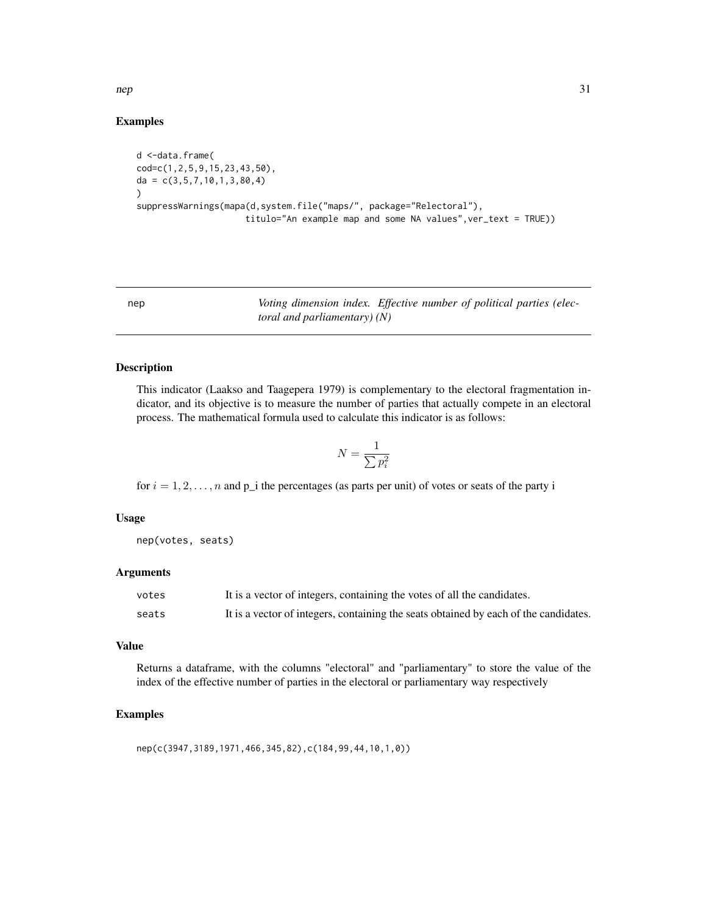<span id="page-30-0"></span>nep 31

#### Examples

```
d <-data.frame(
cod=c(1,2,5,9,15,23,43,50),
da = c(3,5,7,10,1,3,80,4)
)
suppressWarnings(mapa(d,system.file("maps/", package="Relectoral"),
                     titulo="An example map and some NA values",ver_text = TRUE))
```
nep *Voting dimension index. Effective number of political parties (electoral and parliamentary) (N)*

#### Description

This indicator (Laakso and Taagepera 1979) is complementary to the electoral fragmentation indicator, and its objective is to measure the number of parties that actually compete in an electoral process. The mathematical formula used to calculate this indicator is as follows:

$$
N=\frac{1}{\sum p_i^2}
$$

for  $i = 1, 2, \ldots, n$  and  $p_i$  the percentages (as parts per unit) of votes or seats of the party i

#### Usage

nep(votes, seats)

#### Arguments

| votes | It is a vector of integers, containing the votes of all the candidates.              |
|-------|--------------------------------------------------------------------------------------|
| seats | It is a vector of integers, containing the seats obtained by each of the candidates. |

#### Value

Returns a dataframe, with the columns "electoral" and "parliamentary" to store the value of the index of the effective number of parties in the electoral or parliamentary way respectively

#### Examples

nep(c(3947,3189,1971,466,345,82),c(184,99,44,10,1,0))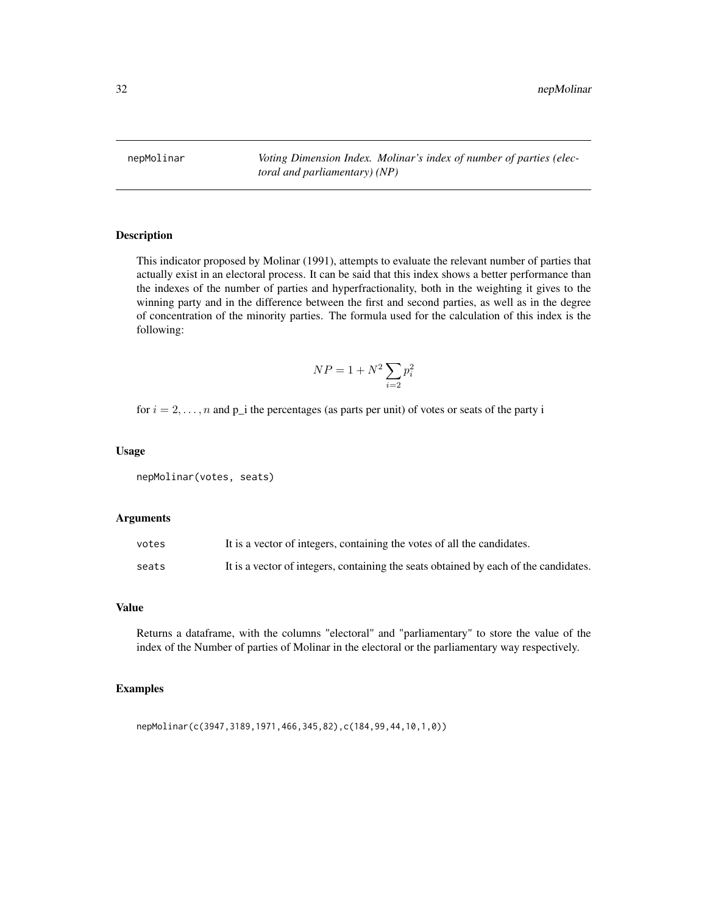<span id="page-31-0"></span>nepMolinar *Voting Dimension Index. Molinar's index of number of parties (electoral and parliamentary) (NP)*

#### Description

This indicator proposed by Molinar (1991), attempts to evaluate the relevant number of parties that actually exist in an electoral process. It can be said that this index shows a better performance than the indexes of the number of parties and hyperfractionality, both in the weighting it gives to the winning party and in the difference between the first and second parties, as well as in the degree of concentration of the minority parties. The formula used for the calculation of this index is the following:

$$
NP = 1 + N^2 \sum_{i=2} p_i^2
$$

for  $i = 2, \ldots, n$  and  $p_i$  the percentages (as parts per unit) of votes or seats of the party i

#### Usage

```
nepMolinar(votes, seats)
```
#### Arguments

| votes | It is a vector of integers, containing the votes of all the candidates.              |
|-------|--------------------------------------------------------------------------------------|
| seats | It is a vector of integers, containing the seats obtained by each of the candidates. |

#### Value

Returns a dataframe, with the columns "electoral" and "parliamentary" to store the value of the index of the Number of parties of Molinar in the electoral or the parliamentary way respectively.

#### Examples

nepMolinar(c(3947,3189,1971,466,345,82),c(184,99,44,10,1,0))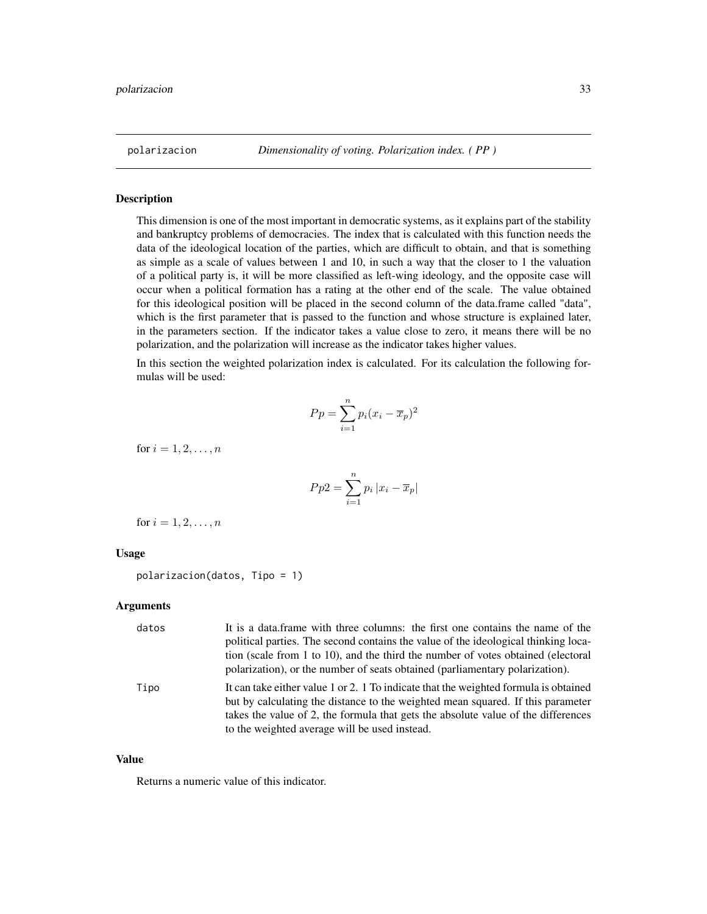<span id="page-32-0"></span>

This dimension is one of the most important in democratic systems, as it explains part of the stability and bankruptcy problems of democracies. The index that is calculated with this function needs the data of the ideological location of the parties, which are difficult to obtain, and that is something as simple as a scale of values between 1 and 10, in such a way that the closer to 1 the valuation of a political party is, it will be more classified as left-wing ideology, and the opposite case will occur when a political formation has a rating at the other end of the scale. The value obtained for this ideological position will be placed in the second column of the data.frame called "data", which is the first parameter that is passed to the function and whose structure is explained later, in the parameters section. If the indicator takes a value close to zero, it means there will be no polarization, and the polarization will increase as the indicator takes higher values.

In this section the weighted polarization index is calculated. For its calculation the following formulas will be used:

$$
Pp = \sum_{i=1}^{n} p_i (x_i - \overline{x}_p)^2
$$

for  $i = 1, 2, ..., n$ 

$$
Pp2 = \sum_{i=1}^{n} p_i |x_i - \overline{x}_p|
$$

for  $i = 1, 2, ..., n$ 

#### Usage

polarizacion(datos, Tipo = 1)

#### Arguments

| datos | It is a data frame with three columns: the first one contains the name of the<br>political parties. The second contains the value of the ideological thinking loca-<br>tion (scale from 1 to 10), and the third the number of votes obtained (electoral<br>polarization), or the number of seats obtained (parliamentary polarization). |
|-------|-----------------------------------------------------------------------------------------------------------------------------------------------------------------------------------------------------------------------------------------------------------------------------------------------------------------------------------------|
| Tipo  | It can take either value 1 or 2. 1 To indicate that the weighted formula is obtained<br>but by calculating the distance to the weighted mean squared. If this parameter<br>takes the value of 2, the formula that gets the absolute value of the differences<br>to the weighted average will be used instead.                           |

#### Value

Returns a numeric value of this indicator.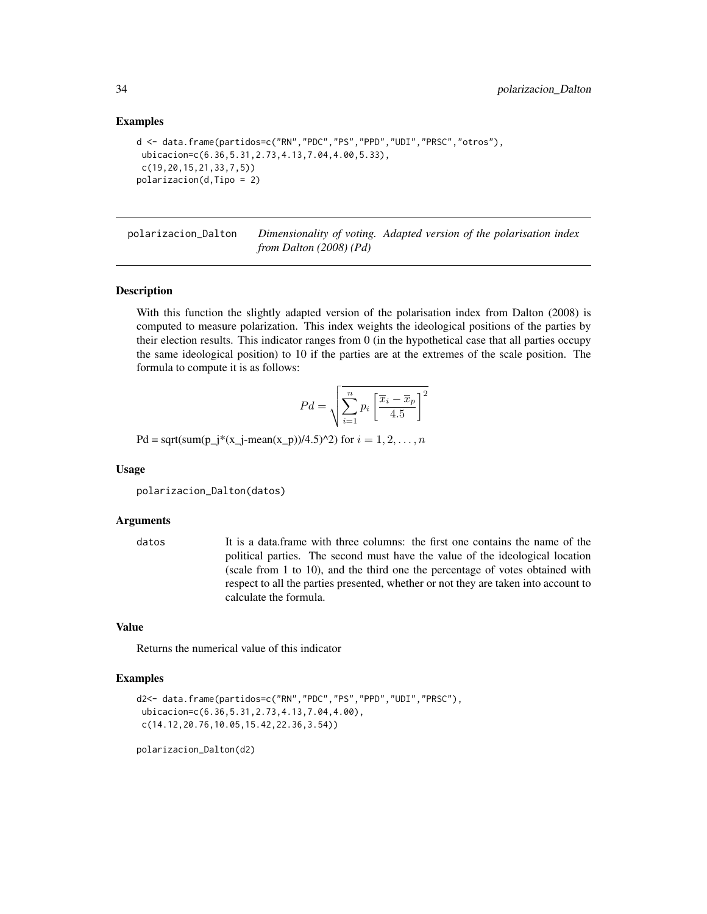#### Examples

```
d <- data.frame(partidos=c("RN","PDC","PS","PPD","UDI","PRSC","otros"),
ubicacion=c(6.36,5.31,2.73,4.13,7.04,4.00,5.33),
c(19,20,15,21,33,7,5))
polarizacion(d,Tipo = 2)
```
polarizacion\_Dalton *Dimensionality of voting. Adapted version of the polarisation index from Dalton (2008) (Pd)*

#### Description

With this function the slightly adapted version of the polarisation index from Dalton (2008) is computed to measure polarization. This index weights the ideological positions of the parties by their election results. This indicator ranges from 0 (in the hypothetical case that all parties occupy the same ideological position) to 10 if the parties are at the extremes of the scale position. The formula to compute it is as follows:

$$
Pd = \sqrt{\sum_{i=1}^{n} p_i \left[ \frac{\overline{x}_i - \overline{x}_p}{4.5} \right]^2}
$$

Pd = sqrt(sum(p\_j\*(x\_j-mean(x\_p))/4.5)^2) for  $i = 1, 2, ..., n$ 

#### Usage

polarizacion\_Dalton(datos)

#### Arguments

datos It is a data.frame with three columns: the first one contains the name of the political parties. The second must have the value of the ideological location (scale from 1 to 10), and the third one the percentage of votes obtained with respect to all the parties presented, whether or not they are taken into account to calculate the formula.

#### Value

Returns the numerical value of this indicator

#### Examples

```
d2<- data.frame(partidos=c("RN","PDC","PS","PPD","UDI","PRSC"),
ubicacion=c(6.36,5.31,2.73,4.13,7.04,4.00),
 c(14.12,20.76,10.05,15.42,22.36,3.54))
```
polarizacion\_Dalton(d2)

<span id="page-33-0"></span>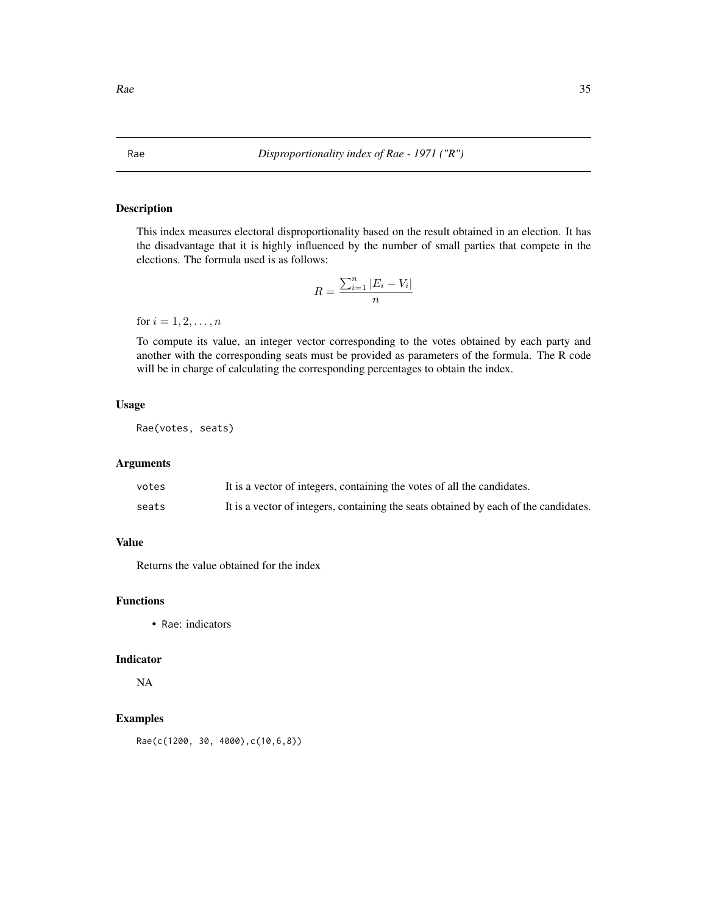This index measures electoral disproportionality based on the result obtained in an election. It has the disadvantage that it is highly influenced by the number of small parties that compete in the elections. The formula used is as follows:

$$
R = \frac{\sum_{i=1}^{n} |E_i - V_i|}{n}
$$

for  $i = 1, 2, ..., n$ 

To compute its value, an integer vector corresponding to the votes obtained by each party and another with the corresponding seats must be provided as parameters of the formula. The R code will be in charge of calculating the corresponding percentages to obtain the index.

#### Usage

Rae(votes, seats)

#### Arguments

| votes | It is a vector of integers, containing the votes of all the candidates.              |
|-------|--------------------------------------------------------------------------------------|
| seats | It is a vector of integers, containing the seats obtained by each of the candidates. |

#### Value

Returns the value obtained for the index

#### Functions

• Rae: indicators

#### Indicator

NA

#### Examples

Rae(c(1200, 30, 4000),c(10,6,8))

<span id="page-34-0"></span>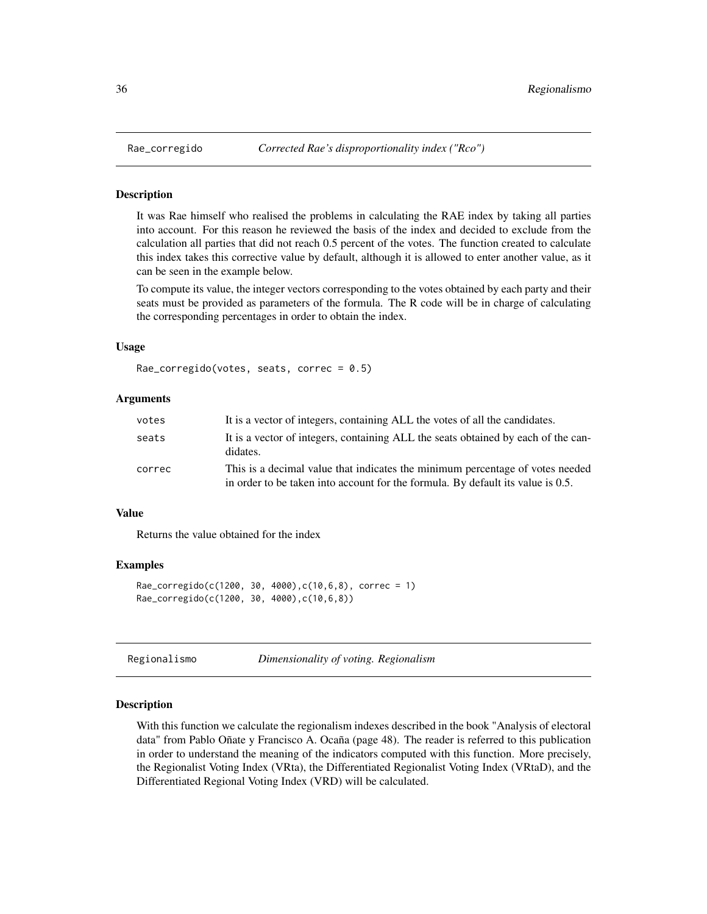<span id="page-35-0"></span>

It was Rae himself who realised the problems in calculating the RAE index by taking all parties into account. For this reason he reviewed the basis of the index and decided to exclude from the calculation all parties that did not reach 0.5 percent of the votes. The function created to calculate this index takes this corrective value by default, although it is allowed to enter another value, as it can be seen in the example below.

To compute its value, the integer vectors corresponding to the votes obtained by each party and their seats must be provided as parameters of the formula. The R code will be in charge of calculating the corresponding percentages in order to obtain the index.

#### Usage

```
Rae_corregido(votes, seats, correc = 0.5)
```
#### Arguments

| votes  | It is a vector of integers, containing ALL the votes of all the candidates.                                                                                      |
|--------|------------------------------------------------------------------------------------------------------------------------------------------------------------------|
| seats  | It is a vector of integers, containing ALL the seats obtained by each of the can-<br>didates.                                                                    |
| correc | This is a decimal value that indicates the minimum percentage of votes needed<br>in order to be taken into account for the formula. By default its value is 0.5. |

#### Value

Returns the value obtained for the index

#### Examples

```
Rae\_corregido(c(1200, 30, 4000), c(10, 6, 8), correc = 1)Rae_corregido(c(1200, 30, 4000),c(10,6,8))
```
Regionalismo *Dimensionality of voting. Regionalism*

#### Description

With this function we calculate the regionalism indexes described in the book "Analysis of electoral data" from Pablo Oñate y Francisco A. Ocaña (page 48). The reader is referred to this publication in order to understand the meaning of the indicators computed with this function. More precisely, the Regionalist Voting Index (VRta), the Differentiated Regionalist Voting Index (VRtaD), and the Differentiated Regional Voting Index (VRD) will be calculated.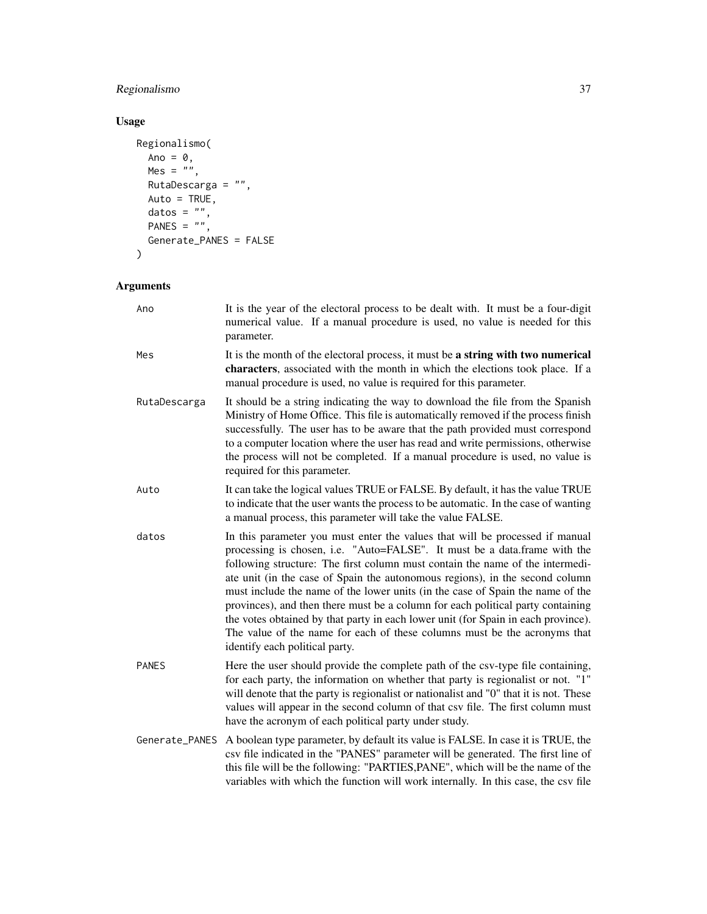#### Regionalismo 37

#### Usage

```
Regionalismo(
  Ano = \theta,
  Mes = "",RutaDescarga = ",
  Auto = TRUE,
  datos = ",
  PANES = ",
  Generate_PANES = FALSE
\mathcal{L}
```
### Arguments

| Ano            | It is the year of the electoral process to be dealt with. It must be a four-digit<br>numerical value. If a manual procedure is used, no value is needed for this<br>parameter.                                                                                                                                                                                                                                                                                                                                                                                                                                                                                                                      |
|----------------|-----------------------------------------------------------------------------------------------------------------------------------------------------------------------------------------------------------------------------------------------------------------------------------------------------------------------------------------------------------------------------------------------------------------------------------------------------------------------------------------------------------------------------------------------------------------------------------------------------------------------------------------------------------------------------------------------------|
| Mes            | It is the month of the electoral process, it must be a string with two numerical<br>characters, associated with the month in which the elections took place. If a<br>manual procedure is used, no value is required for this parameter.                                                                                                                                                                                                                                                                                                                                                                                                                                                             |
| RutaDescarga   | It should be a string indicating the way to download the file from the Spanish<br>Ministry of Home Office. This file is automatically removed if the process finish<br>successfully. The user has to be aware that the path provided must correspond<br>to a computer location where the user has read and write permissions, otherwise<br>the process will not be completed. If a manual procedure is used, no value is<br>required for this parameter.                                                                                                                                                                                                                                            |
| Auto           | It can take the logical values TRUE or FALSE. By default, it has the value TRUE<br>to indicate that the user wants the process to be automatic. In the case of wanting<br>a manual process, this parameter will take the value FALSE.                                                                                                                                                                                                                                                                                                                                                                                                                                                               |
| datos          | In this parameter you must enter the values that will be processed if manual<br>processing is chosen, i.e. "Auto=FALSE". It must be a data.frame with the<br>following structure: The first column must contain the name of the intermedi-<br>ate unit (in the case of Spain the autonomous regions), in the second column<br>must include the name of the lower units (in the case of Spain the name of the<br>provinces), and then there must be a column for each political party containing<br>the votes obtained by that party in each lower unit (for Spain in each province).<br>The value of the name for each of these columns must be the acronyms that<br>identify each political party. |
| <b>PANES</b>   | Here the user should provide the complete path of the csv-type file containing,<br>for each party, the information on whether that party is regionalist or not. "1"<br>will denote that the party is regionalist or nationalist and "0" that it is not. These<br>values will appear in the second column of that csv file. The first column must<br>have the acronym of each political party under study.                                                                                                                                                                                                                                                                                           |
| Generate_PANES | A boolean type parameter, by default its value is FALSE. In case it is TRUE, the<br>csv file indicated in the "PANES" parameter will be generated. The first line of<br>this file will be the following: "PARTIES, PANE", which will be the name of the<br>variables with which the function will work internally. In this case, the csv file                                                                                                                                                                                                                                                                                                                                                       |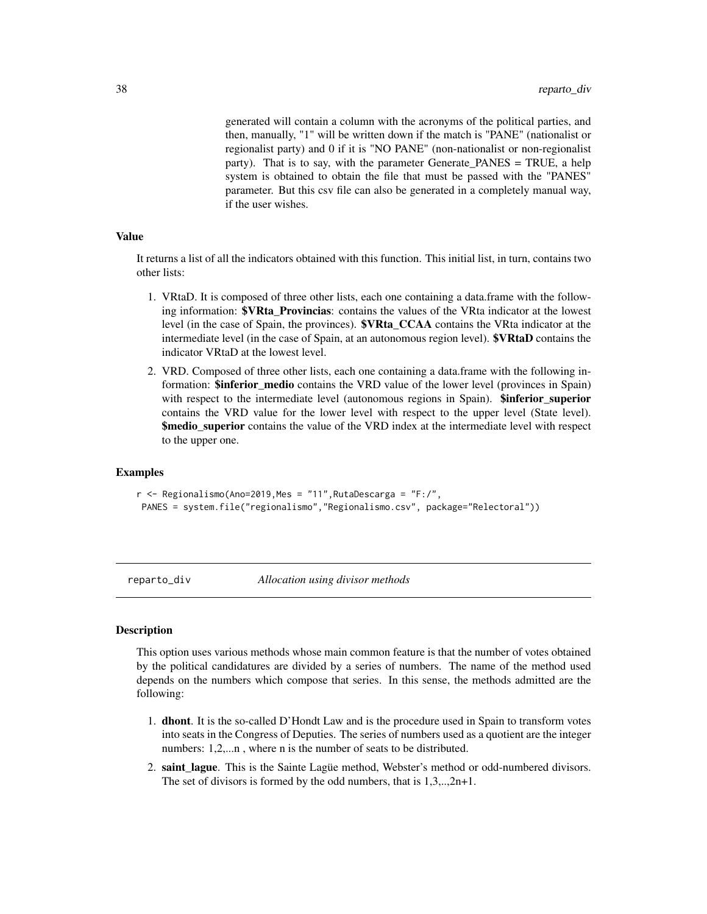<span id="page-37-0"></span>generated will contain a column with the acronyms of the political parties, and then, manually, "1" will be written down if the match is "PANE" (nationalist or regionalist party) and 0 if it is "NO PANE" (non-nationalist or non-regionalist party). That is to say, with the parameter Generate\_PANES = TRUE, a help system is obtained to obtain the file that must be passed with the "PANES" parameter. But this csv file can also be generated in a completely manual way, if the user wishes.

#### Value

It returns a list of all the indicators obtained with this function. This initial list, in turn, contains two other lists:

- 1. VRtaD. It is composed of three other lists, each one containing a data.frame with the following information: **\$VRta** Provincias: contains the values of the VRta indicator at the lowest level (in the case of Spain, the provinces). \$VRta\_CCAA contains the VRta indicator at the intermediate level (in the case of Spain, at an autonomous region level). **\$VRtaD** contains the indicator VRtaD at the lowest level.
- 2. VRD. Composed of three other lists, each one containing a data.frame with the following information: **\$inferior\_medio** contains the VRD value of the lower level (provinces in Spain) with respect to the intermediate level (autonomous regions in Spain). **\$inferior** superior contains the VRD value for the lower level with respect to the upper level (State level). \$medio\_superior contains the value of the VRD index at the intermediate level with respect to the upper one.

#### Examples

```
r <- Regionalismo(Ano=2019, Mes = "11", RutaDescarga = "F:/",
PANES = system.file("regionalismo","Regionalismo.csv", package="Relectoral"))
```
<span id="page-37-1"></span>

reparto\_div *Allocation using divisor methods*

#### Description

This option uses various methods whose main common feature is that the number of votes obtained by the political candidatures are divided by a series of numbers. The name of the method used depends on the numbers which compose that series. In this sense, the methods admitted are the following:

- 1. dhont. It is the so-called D'Hondt Law and is the procedure used in Spain to transform votes into seats in the Congress of Deputies. The series of numbers used as a quotient are the integer numbers: 1,2,...n, where n is the number of seats to be distributed.
- 2. saint lague. This is the Sainte Lague method, Webster's method or odd-numbered divisors. The set of divisors is formed by the odd numbers, that is 1,3,..,2n+1.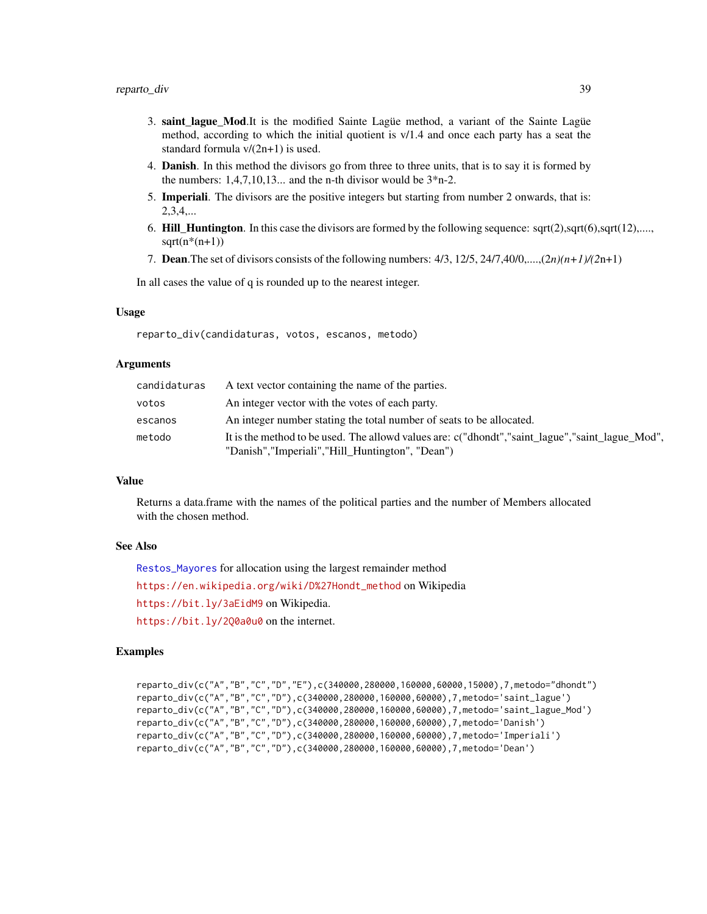- <span id="page-38-0"></span>3. saint\_lague\_Mod.It is the modified Sainte Lagüe method, a variant of the Sainte Lagüe method, according to which the initial quotient is v/1.4 and once each party has a seat the standard formula v/(2n+1) is used.
- 4. Danish. In this method the divisors go from three to three units, that is to say it is formed by the numbers:  $1,4,7,10,13...$  and the n-th divisor would be  $3*$  n-2.
- 5. Imperiali. The divisors are the positive integers but starting from number 2 onwards, that is: 2,3,4,...
- 6. Hill\_Huntington. In this case the divisors are formed by the following sequence: sqrt(2),sqrt(6),sqrt(12),....,  $sqrt(n*(n+1))$
- 7. Dean.The set of divisors consists of the following numbers: 4/3, 12/5, 24/7,40/0,....,(2*n)(n+1)/(2*n+1)

In all cases the value of q is rounded up to the nearest integer.

#### Usage

reparto\_div(candidaturas, votos, escanos, metodo)

#### Arguments

| candidaturas | A text vector containing the name of the parties.                                                                                                    |
|--------------|------------------------------------------------------------------------------------------------------------------------------------------------------|
| votos        | An integer vector with the votes of each party.                                                                                                      |
| escanos      | An integer number stating the total number of seats to be allocated.                                                                                 |
| metodo       | It is the method to be used. The allowd values are: c("dhondt", "saint_lague", "saint_lague_Mod",<br>"Danish","Imperiali","Hill Huntington", "Dean") |

#### Value

Returns a data.frame with the names of the political parties and the number of Members allocated with the chosen method.

#### See Also

[Restos\\_Mayores](#page-39-1) for allocation using the largest remainder method [https://en.wikipedia.org/wiki/D%27Hondt\\_method](https://en.wikipedia.org/wiki/D%27Hondt_method) on Wikipedia <https://bit.ly/3aEidM9> on Wikipedia. https://bit.ly/200a0u0 on the internet.

#### Examples

```
reparto_div(c("A","B","C","D","E"),c(340000,280000,160000,60000,15000),7,metodo="dhondt")
reparto_div(c("A","B","C","D"),c(340000,280000,160000,60000),7,metodo='saint_lague')
reparto_div(c("A","B","C","D"),c(340000,280000,160000,60000),7,metodo='saint_lague_Mod')
reparto_div(c("A","B","C","D"),c(340000,280000,160000,60000),7,metodo='Danish')
reparto_div(c("A","B","C","D"),c(340000,280000,160000,60000),7,metodo='Imperiali')
reparto_div(c("A","B","C","D"),c(340000,280000,160000,60000),7,metodo='Dean')
```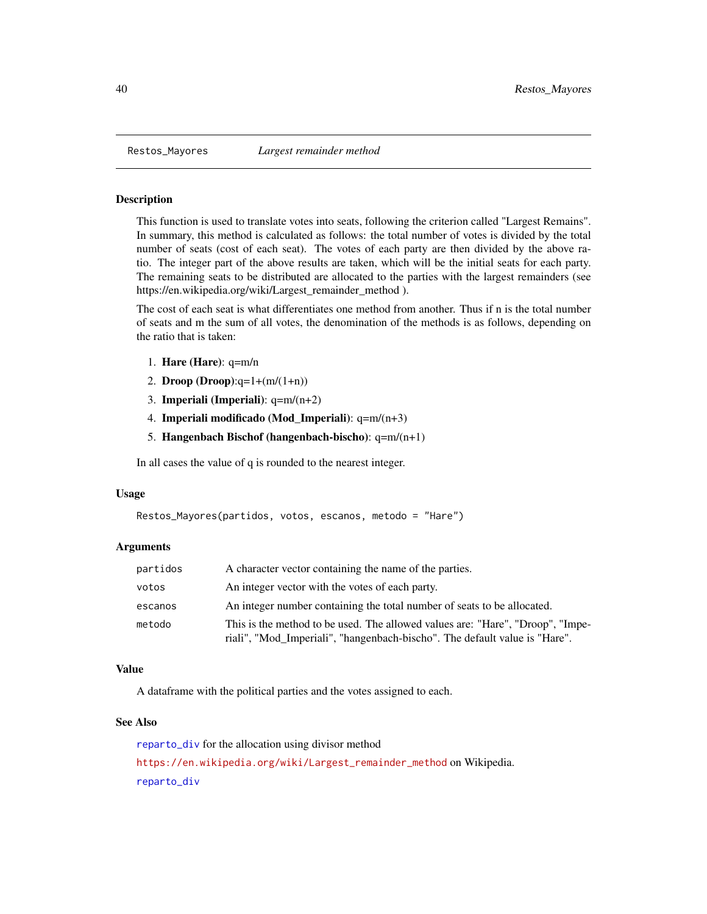<span id="page-39-1"></span><span id="page-39-0"></span>

This function is used to translate votes into seats, following the criterion called "Largest Remains". In summary, this method is calculated as follows: the total number of votes is divided by the total number of seats (cost of each seat). The votes of each party are then divided by the above ratio. The integer part of the above results are taken, which will be the initial seats for each party. The remaining seats to be distributed are allocated to the parties with the largest remainders (see https://en.wikipedia.org/wiki/Largest\_remainder\_method ).

The cost of each seat is what differentiates one method from another. Thus if n is the total number of seats and m the sum of all votes, the denomination of the methods is as follows, depending on the ratio that is taken:

- 1. Hare (Hare): q=m/n
- 2. Droop (Droop): $q=1+(m/(1+n))$
- 3. **Imperiali (Imperiali)**:  $q=m/(n+2)$
- 4. Imperiali modificado (Mod\_Imperiali): q=m/(n+3)
- 5. Hangenbach Bischof (hangenbach-bischo): q=m/(n+1)

In all cases the value of q is rounded to the nearest integer.

#### Usage

```
Restos_Mayores(partidos, votos, escanos, metodo = "Hare")
```
#### Arguments

| partidos | A character vector containing the name of the parties.                                                                                                       |
|----------|--------------------------------------------------------------------------------------------------------------------------------------------------------------|
| votos    | An integer vector with the votes of each party.                                                                                                              |
| escanos  | An integer number containing the total number of seats to be allocated.                                                                                      |
| metodo   | This is the method to be used. The allowed values are: "Hare", "Droop", "Impe-<br>riali", "Mod_Imperiali", "hangenbach-bischo". The default value is "Hare". |

#### Value

A dataframe with the political parties and the votes assigned to each.

#### See Also

[reparto\\_div](#page-37-1) for the allocation using divisor method [https://en.wikipedia.org/wiki/Largest\\_remainder\\_method](https://en.wikipedia.org/wiki/Largest_remainder_method) on Wikipedia. [reparto\\_div](#page-37-1)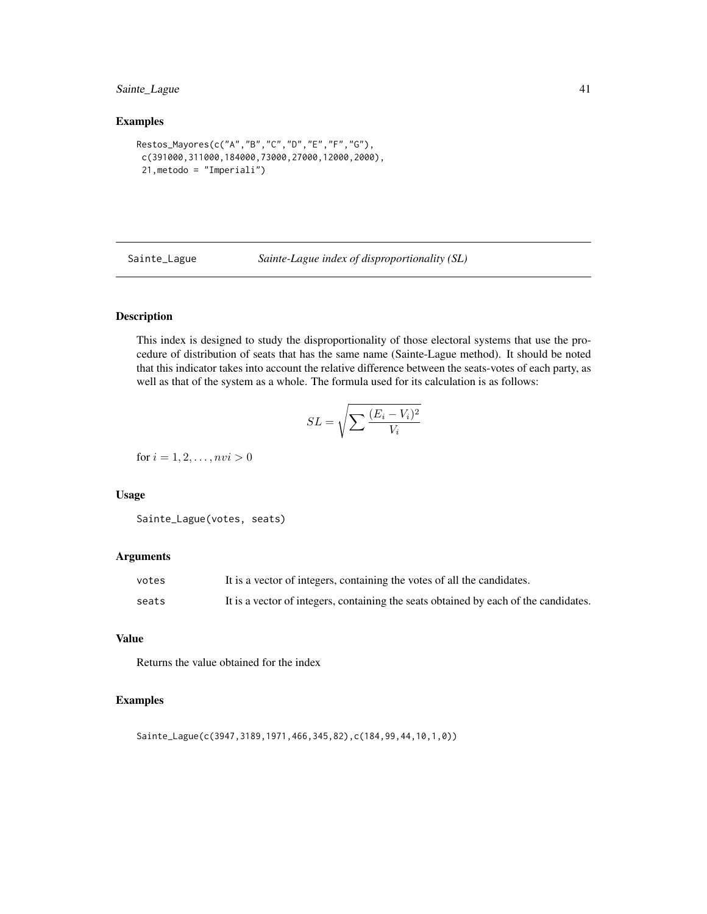#### <span id="page-40-0"></span>Sainte\_Lague 41

#### Examples

```
Restos_Mayores(c("A","B","C","D","E","F","G"),
c(391000,311000,184000,73000,27000,12000,2000),
21,metodo = "Imperiali")
```
Sainte\_Lague *Sainte-Lague index of disproportionality (SL)*

#### Description

This index is designed to study the disproportionality of those electoral systems that use the procedure of distribution of seats that has the same name (Sainte-Lague method). It should be noted that this indicator takes into account the relative difference between the seats-votes of each party, as well as that of the system as a whole. The formula used for its calculation is as follows:

$$
SL = \sqrt{\sum \frac{(E_i - V_i)^2}{V_i}}
$$

for  $i = 1, 2, ..., nvi > 0$ 

#### Usage

```
Sainte_Lague(votes, seats)
```
#### Arguments

| votes | It is a vector of integers, containing the votes of all the candidates.              |
|-------|--------------------------------------------------------------------------------------|
| seats | It is a vector of integers, containing the seats obtained by each of the candidates. |

#### Value

Returns the value obtained for the index

#### Examples

Sainte\_Lague(c(3947,3189,1971,466,345,82),c(184,99,44,10,1,0))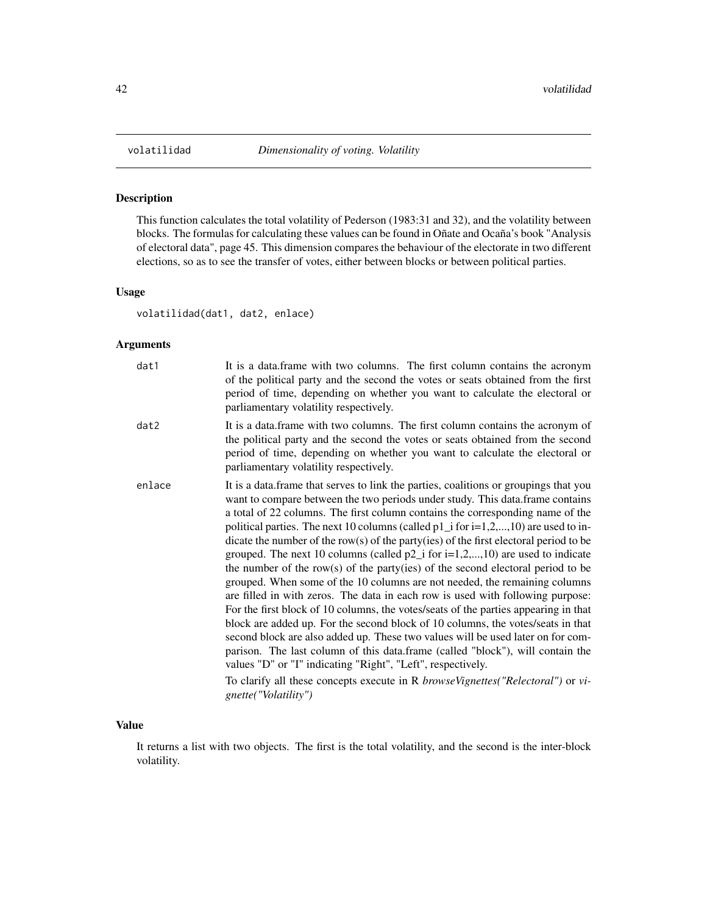This function calculates the total volatility of Pederson (1983:31 and 32), and the volatility between blocks. The formulas for calculating these values can be found in Oñate and Ocaña's book "Analysis of electoral data", page 45. This dimension compares the behaviour of the electorate in two different elections, so as to see the transfer of votes, either between blocks or between political parties.

#### Usage

volatilidad(dat1, dat2, enlace)

#### Arguments

| dat1   | It is a data.frame with two columns. The first column contains the acronym<br>of the political party and the second the votes or seats obtained from the first<br>period of time, depending on whether you want to calculate the electoral or<br>parliamentary volatility respectively.                                                                                                                                                                                                                                                                                                                                                                                                                                                                                                                                                                                                                                                                                                                                                                                                                                                                                                                                                                                                                                   |
|--------|---------------------------------------------------------------------------------------------------------------------------------------------------------------------------------------------------------------------------------------------------------------------------------------------------------------------------------------------------------------------------------------------------------------------------------------------------------------------------------------------------------------------------------------------------------------------------------------------------------------------------------------------------------------------------------------------------------------------------------------------------------------------------------------------------------------------------------------------------------------------------------------------------------------------------------------------------------------------------------------------------------------------------------------------------------------------------------------------------------------------------------------------------------------------------------------------------------------------------------------------------------------------------------------------------------------------------|
| dat2   | It is a data frame with two columns. The first column contains the acronym of<br>the political party and the second the votes or seats obtained from the second<br>period of time, depending on whether you want to calculate the electoral or<br>parliamentary volatility respectively.                                                                                                                                                                                                                                                                                                                                                                                                                                                                                                                                                                                                                                                                                                                                                                                                                                                                                                                                                                                                                                  |
| enlace | It is a data frame that serves to link the parties, coalitions or groupings that you<br>want to compare between the two periods under study. This data frame contains<br>a total of 22 columns. The first column contains the corresponding name of the<br>political parties. The next 10 columns (called $p1_i$ for $i=1,2,,10$ ) are used to in-<br>dicate the number of the row(s) of the party(ies) of the first electoral period to be<br>grouped. The next 10 columns (called $p2_i$ for i=1,2,,10) are used to indicate<br>the number of the row(s) of the party(ies) of the second electoral period to be<br>grouped. When some of the 10 columns are not needed, the remaining columns<br>are filled in with zeros. The data in each row is used with following purpose:<br>For the first block of 10 columns, the votes/seats of the parties appearing in that<br>block are added up. For the second block of 10 columns, the votes/seats in that<br>second block are also added up. These two values will be used later on for com-<br>parison. The last column of this data.frame (called "block"), will contain the<br>values "D" or "I" indicating "Right", "Left", respectively.<br>To clarify all these concepts execute in R <i>browseVignettes("Relectoral")</i> or <i>vi</i> -<br>gnette("Volatility") |

#### Value

It returns a list with two objects. The first is the total volatility, and the second is the inter-block volatility.